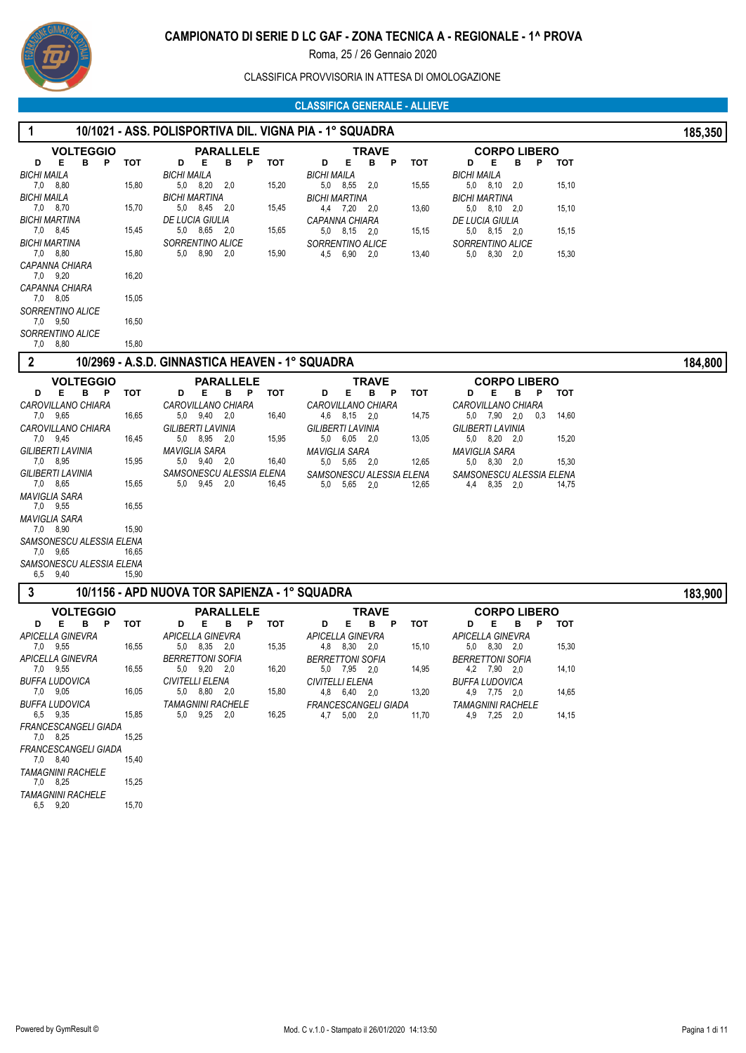

CLASSIFICA PROVVISORIA IN ATTESA DI OMOLOGAZIONE

### **CLASSIFICA GENERALE - ALLIEVE**

| 1                                                                                                                                                                                                                                                                                                                                 |                                                                             | 10/1021 - ASS. POLISPORTIVA DIL. VIGNA PIA - 1° SQUADRA                                                                                                                                                    |                                                             |                                                                                                                                                                                                     |                                                |                                                                                                                                                                                                                        |                                         | 185,350 |
|-----------------------------------------------------------------------------------------------------------------------------------------------------------------------------------------------------------------------------------------------------------------------------------------------------------------------------------|-----------------------------------------------------------------------------|------------------------------------------------------------------------------------------------------------------------------------------------------------------------------------------------------------|-------------------------------------------------------------|-----------------------------------------------------------------------------------------------------------------------------------------------------------------------------------------------------|------------------------------------------------|------------------------------------------------------------------------------------------------------------------------------------------------------------------------------------------------------------------------|-----------------------------------------|---------|
| <b>VOLTEGGIO</b><br>в<br>D<br>Е<br>P<br><b>BICHI MAILA</b><br>7,0 8,80<br><b>BICHI MAILA</b><br>7,0 8,70<br>BICHI MARTINA<br>7,0 8,45<br>BICHI MARTINA<br>7,0 8,80<br>CAPANNA CHIARA<br>7,0 9,20<br>CAPANNA CHIARA<br>7,0 8,05<br>SORRENTINO ALICE<br>7,0 9,50<br>SORRENTINO ALICE                                                | тот<br>15,80<br>15,70<br>15,45<br>15,80<br>16,20<br>15,05<br>16,50          | <b>PARALLELE</b><br>D<br>Е<br>в<br>P<br>BICHI MAILA<br>5,0 8,20<br>2,0<br>BICHI MARTINA<br>5,0 8,45 2,0<br><b>DE LUCIA GIULIA</b><br>5,0 8,65 2,0<br>SORRENTINO ALICE<br>5.0 8.90 2.0                      | тот<br>D<br>BICHI MAILA<br>15,20<br>15,45<br>15,65<br>15,90 | <b>TRAVE</b><br>P<br>Е<br>в<br>5,0 8,55 2,0<br><b>BICHI MARTINA</b><br>4,4 7,20 2,0<br><i><b>CAPANNA CHIARA</b></i><br>5,0 8,15 2,0<br>SORRENTINO ALICE<br>4,5 6,90 2,0                             | тот<br>15,55<br>13,60<br>15,15<br>13,40        | <b>CORPO LIBERO</b><br>Е<br>P<br>D<br>в<br><b>BICHI MAILA</b><br>$5,0$ $8,10$ $2,0$<br><b>BICHI MARTINA</b><br>$5,0$ $8,10$ $2,0$<br>DE LUCIA GIULIA<br>$5,0$ $8,15$ $2,0$<br>SORRENTINO ALICE<br>5,0 8,30 2,0         | тот<br>15,10<br>15,10<br>15,15<br>15,30 |         |
| 7,0 8,80<br>2                                                                                                                                                                                                                                                                                                                     | 15,80                                                                       | 10/2969 - A.S.D. GINNASTICA HEAVEN - 1° SQUADRA                                                                                                                                                            |                                                             |                                                                                                                                                                                                     |                                                |                                                                                                                                                                                                                        |                                         | 184,800 |
| <b>VOLTEGGIO</b><br>E.<br>в<br>D<br>- P<br>CAROVILLANO CHIARA<br>7,0 9,65<br>CAROVILLANO CHIARA<br>7,0 9,45<br><b>GILIBERTI LAVINIA</b><br>7,0 8,95<br>GILIBERTI LAVINIA<br>7,0 8,65<br>MAVIGLIA SARA<br>7,0 9,55<br>MAVIGLIA SARA<br>7,0 8,90<br>SAMSONESCU ALESSIA ELENA<br>7,0 9,65<br>SAMSONESCU ALESSIA ELENA<br>6,5<br>9,40 | тот<br>16,65<br>16,45<br>15,95<br>15,65<br>16,55<br>15,90<br>16,65<br>15,90 | <b>PARALLELE</b><br>Е<br>в<br>D<br>$\mathbf{P}$<br>CAROVILLANO CHIARA<br>5,0 9,40 2,0<br>GILIBERTI LAVINIA<br>5,0 8,95 2,0<br>MAVIGLIA SARA<br>5.0 9.40 2.0<br>SAMSONESCU ALESSIA ELENA<br>5,0<br>9,45 2,0 | тот<br>D<br>16,40<br>15,95<br>16,40<br>16,45<br>5,0         | <b>TRAVE</b><br>Е<br>в<br>- P<br>CAROVILLANO CHIARA<br>4,6 8,15 2,0<br><b>GILIBERTI LAVINIA</b><br>5,0 6,05 2,0<br><b>MAVIGLIA SARA</b><br>5.0 5.65 2.0<br>SAMSONESCU ALESSIA ELENA<br>5,65 2,0     | <b>TOT</b><br>14,75<br>13,05<br>12,65<br>12,65 | <b>CORPO LIBERO</b><br>Е<br>P<br>D<br>В<br>CAROVILLANO CHIARA<br>5,0 7,90 2,0<br>0,3<br><b>GILIBERTI LAVINIA</b><br>5,0 8,20 2,0<br>MAVIGLIA SARA<br>$5,0$ $8,30$ $2,0$<br>SAMSONESCU ALESSIA ELENA<br>8,35 2,0<br>4,4 | тот<br>14,60<br>15,20<br>15,30<br>14,75 |         |
| 3                                                                                                                                                                                                                                                                                                                                 |                                                                             | 10/1156 - APD NUOVA TOR SAPIENZA - 1º SQUADRA                                                                                                                                                              |                                                             |                                                                                                                                                                                                     |                                                |                                                                                                                                                                                                                        |                                         | 183,900 |
| <b>VOLTEGGIO</b><br>E.<br>в<br>D<br>P<br>APICELLA GINEVRA<br>7,0 9,55<br>APICELLA GINEVRA<br>7,0 9,55<br>BUFFA LUDOVICA<br>7,0 9,05<br><b>BUFFA LUDOVICA</b><br>6,5 9,35<br>FRANCESCANGELI GIADA<br>7,0 8,25<br>FRANCESCANGELI GIADA<br>7,0 8,40<br><b>TAMAGNINI RACHELE</b><br>7,0 8,25<br><b>TAMAGNINI RACHELE</b><br>6,5 9,20  | тот<br>16,55<br>16,55<br>16,05<br>15,85<br>15,25<br>15,40<br>15,25<br>15,70 | <b>PARALLELE</b><br>D<br>в<br>P<br>Е<br><b>APICELLA GINEVRA</b><br>5,0 8,35 2,0<br><b>BERRETTONI SOFIA</b><br>5,0 9,20 2,0<br>CIVITELLI ELENA<br>5,0 8,80 2,0<br><b>TAMAGNINI RACHELE</b><br>5,0 9,25 2,0  | тот<br>D<br>15,35<br>16,20<br>15,80<br>16,25                | <b>TRAVE</b><br>Е<br>в<br>P<br><b>APICELLA GINEVRA</b><br>4,8 8,30 2,0<br><b>BERRETTONI SOFIA</b><br>5,0 7,95 2,0<br><b>CIVITELLI ELENA</b><br>4,8 6,40 2,0<br>FRANCESCANGELI GIADA<br>4,7 5,00 2,0 | тот<br>15,10<br>14,95<br>13,20<br>11,70        | <b>CORPO LIBERO</b><br>Е<br>в<br>P<br>D<br>APICELLA GINEVRA<br>5,0 8,30 2,0<br><b>BERRETTONI SOFIA</b><br>4,2 7,90 2,0<br><b>BUFFA LUDOVICA</b><br>4,9 7,75 2,0<br><b>TAMAGNINI RACHELE</b><br>4.9 7.25 2.0            | тот<br>15,30<br>14,10<br>14,65<br>14,15 |         |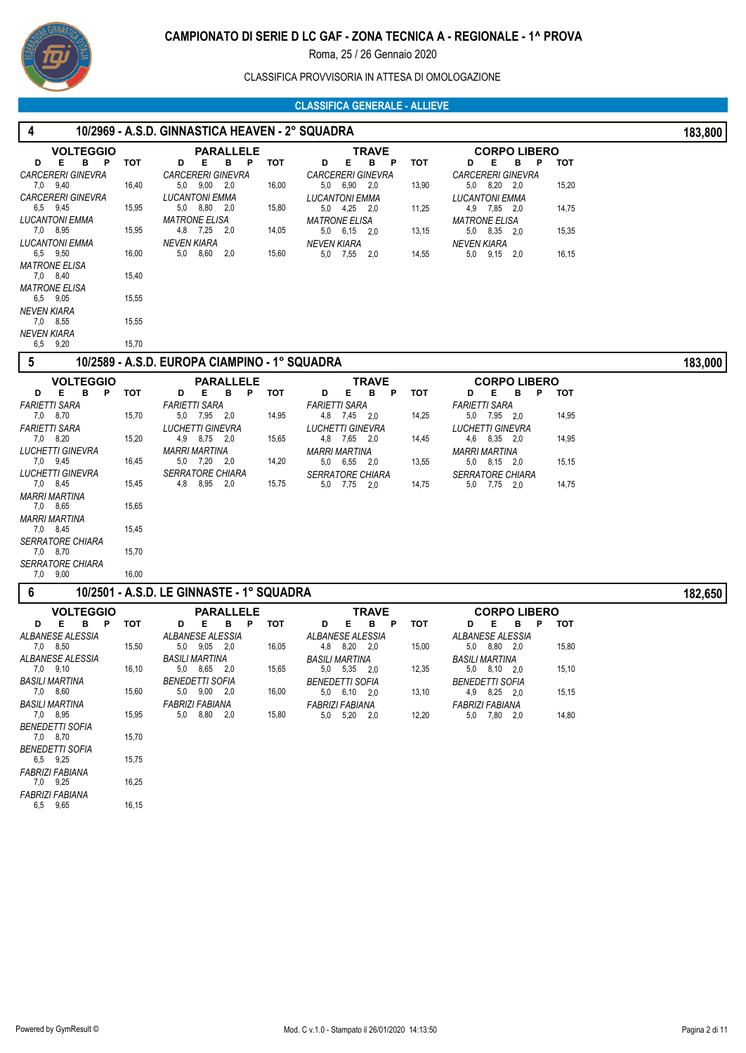

## CLASSIFICA PROVVISORIA IN ATTESA DI OMOLOGAZIONE

### **CLASSIFICA GENERALE - ALLIEVE**

| 4                                      |       | 10/2969 - A.S.D. GINNASTICA HEAVEN - 2° SQUADRA |       |                                              |            |                                         |       | 183,800 |
|----------------------------------------|-------|-------------------------------------------------|-------|----------------------------------------------|------------|-----------------------------------------|-------|---------|
| <b>VOLTEGGIO</b>                       |       | <b>PARALLELE</b>                                |       | <b>TRAVE</b>                                 |            | <b>CORPO LIBERO</b>                     |       |         |
| Е.<br>B P<br>D                         | тот   | Е<br>в<br>P<br>D                                | тот   | Е<br>в<br>- P<br>D                           | <b>TOT</b> | D<br>Е<br>в<br>P                        | тот   |         |
| <b>CARCERERI GINEVRA</b>               |       | <b>CARCERERI GINEVRA</b>                        |       | <b>CARCERERI GINEVRA</b>                     |            | <b>CARCERERI GINEVRA</b>                |       |         |
| 7,0 9,40                               | 16,40 | 5,0 9,00 2,0                                    | 16,00 | 5,0 6,90 2,0                                 | 13,90      | 5,0 8,20 2,0                            | 15,20 |         |
| <b>CARCERERI GINEVRA</b><br>6,5 9,45   | 15,95 | <b>LUCANTONI EMMA</b><br>5,0 8,80 2,0           | 15,80 | <b>LUCANTONI EMMA</b><br>5,0 4,25 2,0        | 11,25      | <b>LUCANTONI EMMA</b><br>4,9 7,85 2,0   | 14,75 |         |
| <b>LUCANTONI EMMA</b>                  |       | <b>MATRONE ELISA</b>                            |       | <b>MATRONE ELISA</b>                         |            | <b>MATRONE ELISA</b>                    |       |         |
| 7,0 8,95                               | 15,95 | 4,8 7,25 2,0                                    | 14,05 | $5,0$ $6,15$ $2,0$                           | 13,15      | 5,0 8,35 2,0                            | 15,35 |         |
| <b>LUCANTONI EMMA</b>                  |       | <b>NEVEN KIARA</b>                              |       | <b>NEVEN KIARA</b>                           |            | <b>NEVEN KIARA</b>                      |       |         |
| 6,5 9,50<br><b>MATRONE ELISA</b>       | 16,00 | 5,0 8,60 2,0                                    | 15,60 | 5,0 7,55 2,0                                 | 14,55      | 5,0 9,15 2,0                            | 16,15 |         |
| 7,0 8,40                               | 15,40 |                                                 |       |                                              |            |                                         |       |         |
| <b>MATRONE ELISA</b>                   |       |                                                 |       |                                              |            |                                         |       |         |
| 6,5 9,05                               | 15,55 |                                                 |       |                                              |            |                                         |       |         |
| <b>NEVEN KIARA</b><br>7,0 8,55         | 15,55 |                                                 |       |                                              |            |                                         |       |         |
| <b>NEVEN KIARA</b>                     |       |                                                 |       |                                              |            |                                         |       |         |
| 6,5 9,20                               | 15,70 |                                                 |       |                                              |            |                                         |       |         |
| 5                                      |       | 10/2589 - A.S.D. EUROPA CIAMPINO - 1° SQUADRA   |       |                                              |            |                                         |       | 183,000 |
| <b>VOLTEGGIO</b>                       |       | <b>PARALLELE</b>                                |       | TRAVE                                        |            | <b>CORPO LIBERO</b>                     |       |         |
| в<br>Е<br>P<br>D                       | тот   | в<br>P<br>D<br>Е                                | тот   | Е<br>в<br>P<br>D                             | тот        | D<br>Е<br>в<br>P                        | тот   |         |
| FARIETTI SARA                          |       | <b>FARIETTI SARA</b>                            |       | <b>FARIETTI SARA</b>                         |            | <b>FARIETTI SARA</b>                    |       |         |
| 7,0 8,70                               | 15,70 | 5.0 7.95 2.0                                    | 14,95 | 4,8 7,45 2,0                                 | 14,25      | 5,0 7,95 2,0                            | 14,95 |         |
| FARIETTI SARA<br>7,0 8,20              | 15,20 | LUCHETTI GINEVRA<br>4,9 8,75 2,0                | 15,65 | LUCHETTI GINEVRA<br>4,8 7,65 2,0             | 14,45      | LUCHETTI GINEVRA<br>4,6 8,35 2,0        | 14,95 |         |
| LUCHETTI GINEVRA                       |       | MARRI MARTINA                                   |       | MARRI MARTINA                                |            | <b>MARRI MARTINA</b>                    |       |         |
| 7,0 9,45                               | 16,45 | 5,0 7,20 2,0                                    | 14,20 | 5,0 6,55 2,0                                 | 13,55      | 5,0 8,15 2,0                            | 15,15 |         |
| LUCHETTI GINEVRA                       |       | <b>SERRATORE CHIARA</b>                         |       | <b>SERRATORE CHIARA</b>                      |            | <b>SERRATORE CHIARA</b>                 |       |         |
| 7,0 8,45                               | 15,45 | 4,8 8,95 2,0                                    | 15,75 | 5,0 7,75<br>2,0                              | 14,75      | 5,0 7,75 2,0                            | 14,75 |         |
| MARRI MARTINA<br>7,0 8,65              | 15,65 |                                                 |       |                                              |            |                                         |       |         |
| MARRI MARTINA                          |       |                                                 |       |                                              |            |                                         |       |         |
| 7,0 8,45                               | 15,45 |                                                 |       |                                              |            |                                         |       |         |
| <i>SERRATORE CHIARA</i>                |       |                                                 |       |                                              |            |                                         |       |         |
| 7,0 8,70                               | 15,70 |                                                 |       |                                              |            |                                         |       |         |
| <b>SERRATORE CHIARA</b><br>7,0 9,00    | 16,00 |                                                 |       |                                              |            |                                         |       |         |
| 6                                      |       | 10/2501 - A.S.D. LE GINNASTE - 1° SQUADRA       |       |                                              |            |                                         |       | 182,650 |
|                                        |       |                                                 |       |                                              |            |                                         |       |         |
| <b>VOLTEGGIO</b><br>в<br>Е<br>- P<br>D | тот   | <b>PARALLELE</b><br>Е<br>в<br>P<br>D            | тот   | TRAVE<br>E.<br>в<br>D<br>-P                  | <b>TOT</b> | <b>CORPO LIBERO</b><br>Е<br>в<br>P<br>D | тот   |         |
| ALBANESE ALESSIA                       |       | <b>ALBANESE ALESSIA</b>                         |       | ALBANESE ALESSIA                             |            | ALBANESE ALESSIA                        |       |         |
| 7,0 8,50                               | 15,50 | 5,0 9,05 2,0                                    | 16,05 | 4,8 8,20 2,0                                 | 15,00      | 5,0 8,80 2,0                            | 15,80 |         |
| ALBANESE ALESSIA                       |       | BASILI MARTINA                                  |       | <b>BASILI MARTINA</b>                        |            | BASILI MARTINA                          |       |         |
| 7,0 9,10                               | 16,10 | 5,0 8,65 2,0<br><b>BENEDETTI SOFIA</b>          | 15,65 | 5,0 5,35 2,0                                 | 12,35      | 5,0 8,10 2,0                            | 15,10 |         |
| BASILI MARTINA<br>7,0 8,60             | 15,60 | 5,0 9,00 2,0                                    | 16,00 | <b>BENEDETTI SOFIA</b><br>$5,0$ $6,10$ $2,0$ | 13,10      | <b>BENEDETTI SOFIA</b><br>4,9 8,25 2,0  | 15,15 |         |
| <b>BASILI MARTINA</b>                  |       | FABRIZI FABIANA                                 |       | <b>FABRIZI FABIANA</b>                       |            | <b>FABRIZI FABIANA</b>                  |       |         |
| 7,0 8,95                               | 15,95 | 5.0 8.80 2.0                                    | 15,80 | 5,0 5,20 2,0                                 | 12,20      | 5,0 7,80 2,0                            | 14,80 |         |
| <b>BENEDETTI SOFIA</b>                 |       |                                                 |       |                                              |            |                                         |       |         |
| 7,0 8,70<br><b>BENEDETTI SOFIA</b>     | 15,70 |                                                 |       |                                              |            |                                         |       |         |
| 6.5 9.25                               | 15,75 |                                                 |       |                                              |            |                                         |       |         |
| <b>FABRIZI FABIANA</b>                 |       |                                                 |       |                                              |            |                                         |       |         |
| 7,0 9,25                               | 16,25 |                                                 |       |                                              |            |                                         |       |         |
| <b>FABRIZI FABIANA</b><br>6,5 9,65     | 16,15 |                                                 |       |                                              |            |                                         |       |         |
|                                        |       |                                                 |       |                                              |            |                                         |       |         |
|                                        |       |                                                 |       |                                              |            |                                         |       |         |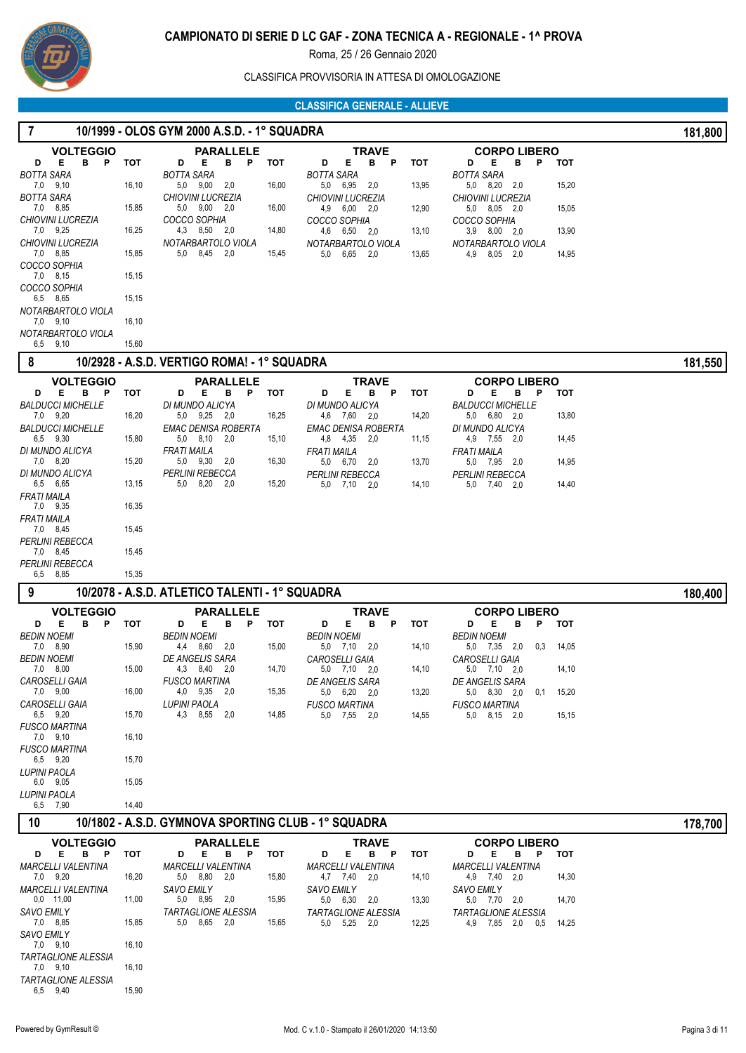

CLASSIFICA PROVVISORIA IN ATTESA DI OMOLOGAZIONE

### **CLASSIFICA GENERALE - ALLIEVE**

| $\overline{7}$                              | 10/1999 - OLOS GYM 2000 A.S.D. - 1° SQUADRA |                                                     |       |                                                       |            |                                            |       |         |  |
|---------------------------------------------|---------------------------------------------|-----------------------------------------------------|-------|-------------------------------------------------------|------------|--------------------------------------------|-------|---------|--|
| <b>VOLTEGGIO</b>                            |                                             | <b>PARALLELE</b>                                    |       | TRAVE                                                 |            | <b>CORPO LIBERO</b>                        |       |         |  |
| E.<br>B.<br>P<br>D<br><b>BOTTA SARA</b>     | тот                                         | D<br>Е<br>B.<br>P<br><b>BOTTA SARA</b>              | тот   | D<br>Е<br>в<br>P<br><b>BOTTA SARA</b>                 | тот        | D<br>Е<br>в<br>P<br><b>BOTTA SARA</b>      | тот   |         |  |
| 7,0 9,10                                    | 16,10                                       | 5,0 9,00<br>2,0                                     | 16,00 | 5,0 6,95<br>2,0                                       | 13,95      | 5,0 8,20<br>2,0                            | 15,20 |         |  |
| <b>BOTTA SARA</b><br>7,0 8,85               | 15,85                                       | <b>CHIOVINI LUCREZIA</b><br>$5,0$ $9,00$ $2,0$      | 16,00 | <b>CHIOVINI LUCREZIA</b><br>4,9 6,00 2,0              | 12,90      | <b>CHIOVINI LUCREZIA</b><br>5.0 8.05 2.0   | 15,05 |         |  |
| <b>CHIOVINI LUCREZIA</b>                    |                                             | COCCO SOPHIA                                        |       | COCCO SOPHIA                                          |            | COCCO SOPHIA                               |       |         |  |
| 7,0 9,25<br><b>CHIOVINI LUCREZIA</b>        | 16,25                                       | 4,3 8,50 2,0<br>NOTARBARTOLO VIOLA                  | 14,80 | 4,6 6,50 2,0                                          | 13,10      | 3,9 8,00 2,0                               | 13,90 |         |  |
| 7,0 8,85                                    | 15,85                                       | 5.0<br>8,45 2,0                                     | 15,45 | NOTARBARTOLO VIOLA<br>5,0 6,65 2,0                    | 13,65      | NOTARBARTOLO VIOLA<br>4,9<br>8,05 2,0      | 14,95 |         |  |
| COCCO SOPHIA<br>7,0 8,15                    | 15,15                                       |                                                     |       |                                                       |            |                                            |       |         |  |
| COCCO SOPHIA                                |                                             |                                                     |       |                                                       |            |                                            |       |         |  |
| 6,5 8,65                                    | 15,15                                       |                                                     |       |                                                       |            |                                            |       |         |  |
| NOTARBARTOLO VIOLA<br>7,0 9,10              | 16,10                                       |                                                     |       |                                                       |            |                                            |       |         |  |
| NOTARBARTOLO VIOLA<br>6,5 9,10              | 15,60                                       |                                                     |       |                                                       |            |                                            |       |         |  |
| 8                                           |                                             | 10/2928 - A.S.D. VERTIGO ROMA! - 1° SQUADRA         |       |                                                       |            |                                            |       | 181,550 |  |
| <b>VOLTEGGIO</b>                            |                                             | <b>PARALLELE</b>                                    |       | TRAVE                                                 |            | <b>CORPO LIBERO</b>                        |       |         |  |
| Е<br><b>B</b><br>P<br>D                     | тот                                         | Е<br>в<br>P<br>D                                    | тот   | Е<br>D<br>в<br>P                                      | тот        | Е<br>в<br>P<br>D                           | тот   |         |  |
| <b>BALDUCCI MICHELLE</b>                    |                                             | DI MUNDO ALICYA                                     |       | DI MUNDO ALICYA                                       |            | <b>BALDUCCI MICHELLE</b>                   |       |         |  |
| 7,0 9,20<br><b>BALDUCCI MICHELLE</b>        | 16,20                                       | 5.0 9.25 2.0<br><b>EMAC DENISA ROBERTA</b>          | 16,25 | 4,6 7,60 2,0<br>EMAC DENISA ROBERTA                   | 14,20      | 5,0 6,80 2,0<br>DI MUNDO ALICYA            | 13,80 |         |  |
| 6,5 9,30                                    | 15,80                                       | 5,0 8,10 2,0                                        | 15,10 | 4,8 4,35 2,0                                          | 11,15      | 4,9 7,55 2,0                               | 14,45 |         |  |
| DI MUNDO ALICYA<br>7,0 8,20                 | 15,20                                       | FRATI MAILA<br>5,0 9,30<br>2,0                      | 16,30 | <b>FRATI MAILA</b><br>5,0 6,70<br>2,0                 | 13,70      | <b>FRATI MAILA</b><br>5,0 7,95 2,0         | 14,95 |         |  |
| DI MUNDO ALICYA                             |                                             | PERLINI REBECCA                                     |       | PERLINI REBECCA                                       |            | <b>PERLINI REBECCA</b>                     |       |         |  |
| 6,5 6,65<br><b>FRATI MAILA</b>              | 13,15                                       | 5,0 8,20 2,0                                        | 15,20 | 5,0 7,10<br>- 2,0                                     | 14,10      | 5,0<br>7,40 2,0                            | 14,40 |         |  |
| 7,0 9,35<br>FRATI MAILA                     | 16,35                                       |                                                     |       |                                                       |            |                                            |       |         |  |
| 7,0 8,45                                    | 15,45                                       |                                                     |       |                                                       |            |                                            |       |         |  |
| PERLINI REBECCA<br>7,0 8,45                 | 15,45                                       |                                                     |       |                                                       |            |                                            |       |         |  |
| PERLINI REBECCA<br>6,5 8,85                 | 15,35                                       |                                                     |       |                                                       |            |                                            |       |         |  |
| 9                                           |                                             | 10/2078 - A.S.D. ATLETICO TALENTI - 1° SQUADRA      |       |                                                       |            |                                            |       | 180,400 |  |
| <b>VOLTEGGIO</b>                            |                                             |                                                     |       |                                                       |            | <b>CORPO LIBERO</b>                        |       |         |  |
| B <sub>P</sub><br>Е<br>D                    | тот                                         | PARALLELE<br>Е<br>B P<br>D                          | тот   | <b>TRAVE</b><br>Е<br><b>B</b><br>- P<br>D             | <b>TOT</b> | D<br>Е<br>в<br>P                           | тот   |         |  |
| <b>BEDIN NOEMI</b>                          |                                             | <b>BEDIN NOEMI</b>                                  |       | <b>BEDIN NOEMI</b>                                    |            | <b>BEDIN NOEMI</b>                         |       |         |  |
| 7,0 8,90<br><b>BEDIN NOEMI</b>              | 15,90                                       | 4,4<br>8,60 2,0<br>DE ANGELIS SARA                  | 15,00 | 5,0 7,10 2,0<br>CAROSELLI GAIA                        | 14,10      | 5,0 7,35 2,0<br>0,3<br>CAROSELLI GAIA      | 14,05 |         |  |
| 7,0 8,00                                    | 15,00                                       | 4,3 8,40 2,0                                        | 14,70 | $5,0$ $7,10$ $2,0$                                    | 14,10      | $5,0$ $7,10$ $2,0$                         | 14,10 |         |  |
| CAROSELLI GAIA<br>7,0 9,00                  | 16,00                                       | <b>FUSCO MARTINA</b><br>4,0 9,35 2,0                | 15,35 | DE ANGELIS SARA<br>5,0 6,20 2,0                       | 13,20      | DE ANGELIS SARA<br>5,0 8,30 2,0<br>0,1     | 15,20 |         |  |
| CAROSELLI GAIA                              |                                             | <b>LUPINI PAOLA</b>                                 |       | <b>FUSCO MARTINA</b>                                  |            | <b>FUSCO MARTINA</b>                       |       |         |  |
| 6,5 9,20<br><b>FUSCO MARTINA</b>            | 15,70                                       | 4,3 8,55 2,0                                        | 14,85 | 5,0 7,55 2,0                                          | 14,55      | 5,0 8,15 2,0                               | 15,15 |         |  |
| 7,0 9,10                                    | 16,10                                       |                                                     |       |                                                       |            |                                            |       |         |  |
| FUSCO MARTINA<br>6,5 9,20                   | 15,70                                       |                                                     |       |                                                       |            |                                            |       |         |  |
| LUPINI PAOLA                                |                                             |                                                     |       |                                                       |            |                                            |       |         |  |
| 6,0 9,05<br>LUPINI PAOLA                    | 15,05                                       |                                                     |       |                                                       |            |                                            |       |         |  |
| 6,5 7,90                                    | 14,40                                       |                                                     |       |                                                       |            |                                            |       |         |  |
| 10                                          |                                             | 10/1802 - A.S.D. GYMNOVA SPORTING CLUB - 1° SQUADRA |       |                                                       |            |                                            |       | 178,700 |  |
| <b>VOLTEGGIO</b>                            |                                             | <b>PARALLELE</b>                                    |       | <b>TRAVE</b>                                          |            | <b>CORPO LIBERO</b>                        |       |         |  |
| E.<br>B P<br>D<br><b>MARCELLI VALENTINA</b> | <b>TOT</b>                                  | Е<br>B P<br>D<br><b>MARCELLI VALENTINA</b>          | тот   | Е<br>B <sub>P</sub><br>D<br><b>MARCELLI VALENTINA</b> | тот        | Е<br>B P<br>D<br><b>MARCELLI VALENTINA</b> | тот   |         |  |
| 7,0 9,20                                    | 16,20                                       | 5,0 8,80 2,0                                        | 15,80 | 4,7 7,40 2,0                                          | 14,10      | 4,9 7,40 2,0                               | 14,30 |         |  |
| <b>MARCELLI VALENTINA</b><br>$0,0$ 11,00    | 11,00                                       | <b>SAVO EMILY</b>                                   | 15,95 | <b>SAVO EMILY</b>                                     |            | <b>SAVO EMILY</b>                          |       |         |  |
| <b>SAVO EMILY</b>                           |                                             | 5,0 8,95 2,0<br><b>TARTAGLIONE ALESSIA</b>          |       | 5,0 6,30 2,0<br>TARTAGLIONE ALESSIA                   | 13,30      | 5,0 7,70 2,0<br><b>TARTAGLIONE ALESSIA</b> | 14,70 |         |  |
| 7,0 8,85                                    | 15,85                                       | 5,0 8,65 2,0                                        | 15,65 | 5,0 5,25 2,0                                          | 12,25      | 4,9 7,85 2,0 0,5                           | 14,25 |         |  |
| <b>SAVO EMILY</b><br>7,0 9,10               | 16,10                                       |                                                     |       |                                                       |            |                                            |       |         |  |
| <b>TARTAGLIONE ALESSIA</b>                  |                                             |                                                     |       |                                                       |            |                                            |       |         |  |
| 7,0 9,10<br><b>TARTAGLIONE ALESSIA</b>      | 16, 10                                      |                                                     |       |                                                       |            |                                            |       |         |  |
| 6,5 9,40                                    | 15,90                                       |                                                     |       |                                                       |            |                                            |       |         |  |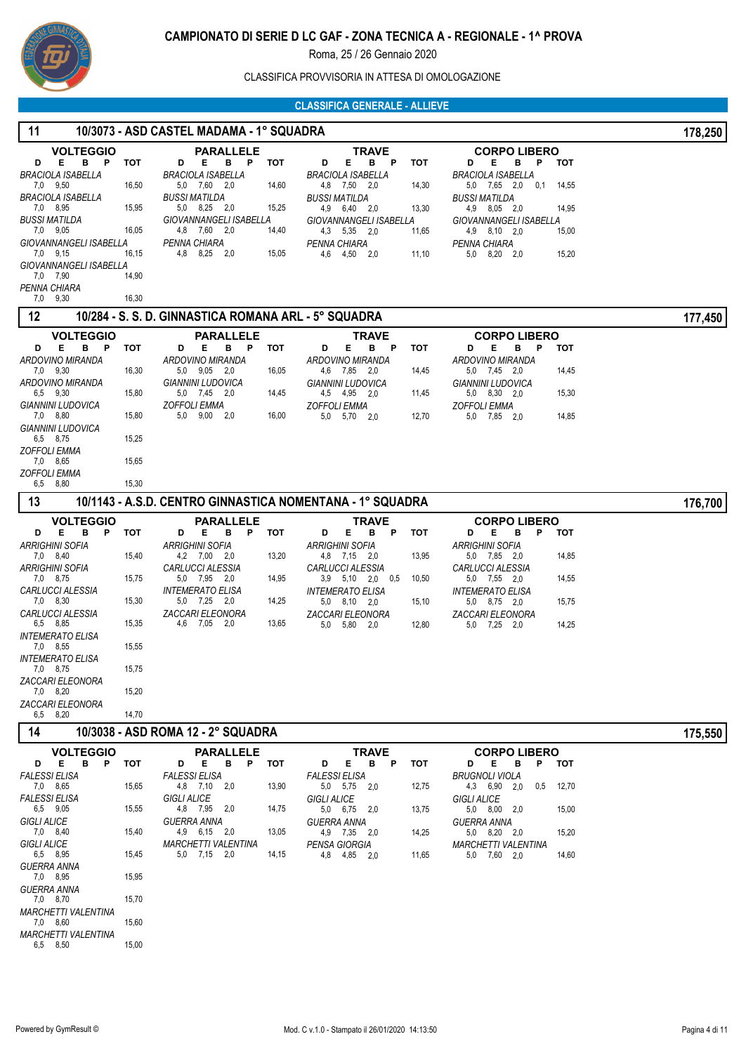

CLASSIFICA PROVVISORIA IN ATTESA DI OMOLOGAZIONE

#### **CLASSIFICA GENERALE - ALLIEVE**

#### **11 10/3073 - ASD CASTEL MADAMA - 1° SQUADRA 178,250 VOLTEGGIO D E B P TOT** 7,0 9,50 16,50 *BRACIOLA ISABELLA* 7.0 8.95 *BRACIOLA ISABELLA* 8,95 15,95 7,0 9,05 16,05 *BUSSI MATILDA* 7,0 9,15 16,15 *GIOVANNANGELI ISABELLA* 7,0 7,90 14,90 *GIOVANNANGELI ISABELLA* **PARALLELE TRAVE CORPO LIBERO D E B P TOT** 5,0 7,60 2,0 14,60 *BRACIOLA ISABELLA* 5,0 8,25 2,0 15,25 *BUSSI MATILDA* 4,8 7,60 2,0 14,40 *GIOVANNANGELI ISABELLA* 4,8 8,25 2,0 15,05 *PENNA CHIARA* **D E B P TOT** 4,8 7,50 2,0 14,30 *BRACIOLA ISABELLA* 4,9 6,40 2,0 13,30 *BUSSI MATILDA* 4,3 5,35 2,0 11,65 *GIOVANNANGELI ISABELLA* 4,6 *PENNA CHIARA* 4,50 2,0 11,10 **D E B P TOT** 5,0 7,65 2,0 0,1 14,55 *BRACIOLA ISABELLA* 4,9 8,05 2,0 14,95 *BUSSI MATILDA* 4,9 8,10 2,0 15,00 *GIOVANNANGELI ISABELLA* 5,0 *PENNA CHIARA* 8,20 2,0 15,20

#### **12 10/284 - S. S. D. GINNASTICA ROMANA ARL - 5° SQUADRA 177,450**

9,30 16,30

 $7,0$   $9,30$ *PENNA CHIARA*

| <br>1 VI L V T                              |            |                                                           |                                                                  |                                                           | טט <del>ר</del> , ווו |
|---------------------------------------------|------------|-----------------------------------------------------------|------------------------------------------------------------------|-----------------------------------------------------------|-----------------------|
| <b>VOLTEGGIO</b>                            |            | <b>PARALLELE</b>                                          | <b>TRAVE</b>                                                     | <b>CORPO LIBERO</b>                                       |                       |
| в<br>Е<br>P<br>D<br><b>ARDOVINO MIRANDA</b> | <b>TOT</b> | P<br>в<br><b>TOT</b><br>Е<br>D<br><b>ARDOVINO MIRANDA</b> | в<br>D<br>Е<br><b>P</b><br><b>TOT</b><br><b>ARDOVINO MIRANDA</b> | B<br>P<br>Е<br><b>TOT</b><br>D<br><b>ARDOVINO MIRANDA</b> |                       |
| 7,0 9,30                                    | 16,30      | $9,05$ 2,0<br>5.0<br>16,05                                | 4,6 7,85 2,0<br>14,45                                            | 5,0 7,45 2,0<br>14,45                                     |                       |
| <b>ARDOVINO MIRANDA</b><br>6,5 9,30         | 15,80      | <b>GIANNINI LUDOVICA</b><br>5.0 7.45 2.0<br>14,45         | <b>GIANNINI LUDOVICA</b><br>4,95<br>4,5<br>2,0<br>11,45          | <b>GIANNINI LUDOVICA</b><br>5.0 8.30 2.0<br>15,30         |                       |
| <b>GIANNINI LUDOVICA</b><br>7,0 8,80        | 15,80      | <b>ZOFFOLI EMMA</b><br>$9,00$ 2,0<br>16,00<br>5.0         | <b>ZOFFOLI EMMA</b><br>12,70<br>5.0<br>5,70<br>2,0               | <b>ZOFFOLI EMMA</b><br>14,85<br>5.0 7.85 2.0              |                       |
| <b>GIANNINI LUDOVICA</b><br>6,5 8,75        | 15,25      |                                                           |                                                                  |                                                           |                       |
| <b>ZOFFOLI EMMA</b><br>7,0 8,65             | 15,65      |                                                           |                                                                  |                                                           |                       |
| <b>ZOFFOLI EMMA</b><br>6,5 8,80             | 15,30      |                                                           |                                                                  |                                                           |                       |
| 13                                          |            |                                                           | 10/1143 - A.S.D. CENTRO GINNASTICA NOMENTANA - 1° SQUADRA        |                                                           | 176,700               |
| <b>VOLTEGGIO</b>                            |            | <b>PARALLELE</b>                                          | <b>TRAVE</b>                                                     | <b>CORPO LIBERO</b>                                       |                       |
| B<br>Е<br>P<br>D                            | <b>TOT</b> | B<br>Е<br>P<br><b>TOT</b><br>D                            | в<br>Е<br><b>TOT</b><br>D<br>P                                   | в<br>Е<br>P<br>D<br>тот                                   |                       |
| <b>ARRIGHINI SOFIA</b><br>7,0 8,40          | 15,40      | <b>ARRIGHINI SOFIA</b><br>13,20<br>4,2 7,00 2,0           | <b>ARRIGHINI SOFIA</b><br>4,8 7,15<br>13,95<br>2,0               | <b>ARRIGHINI SOFIA</b><br>14,85<br>5,0 7,85 2,0           |                       |
| <b>ARRIGHINI SOFIA</b><br>7,0 8,75          | 15,75      | <b>CARLUCCI ALESSIA</b><br>5,0 7,95 2,0<br>14,95          | <b>CARLUCCI ALESSIA</b><br>3,9 5,10 2,0<br>0.5<br>10,50          | <b>CARLUCCI ALESSIA</b><br>5,0 7,55 2,0<br>14,55          |                       |
| <b>CARLUCCI ALESSIA</b><br>7,0 8,30         | 15,30      | <b>INTEMERATO ELISA</b><br>5,0 7,25 2,0<br>14,25          | <b>INTEMERATO ELISA</b><br>5,0 8,10 2,0<br>15,10                 | <b>INTEMERATO ELISA</b><br>5,0 8,75 2,0<br>15,75          |                       |
| <b>CARLUCCI ALESSIA</b><br>6,5 8,85         | 15,35      | <b>ZACCARI ELEONORA</b><br>4.6<br>7,05<br>2,0<br>13,65    | ZACCARI ELEONORA<br>5,80<br>5.0<br>12,80<br>2.0                  | <b>ZACCARI ELEONORA</b><br>5.0 7.25 2.0<br>14,25          |                       |
| <b>INTEMERATO ELISA</b><br>7,0 8,55         | 15,55      |                                                           |                                                                  |                                                           |                       |
| <b>INTEMERATO ELISA</b><br>7,0 8,75         | 15,75      |                                                           |                                                                  |                                                           |                       |
| <b>ZACCARI ELEONORA</b><br>7,0 8,20         | 15,20      |                                                           |                                                                  |                                                           |                       |
| <b>ZACCARI ELEONORA</b><br>6,5 8,20         | 14,70      |                                                           |                                                                  |                                                           |                       |

# **14 10/3038 - ASD ROMA 12 - 2° SQUADRA** 175,550

|                      |          | <b>VOLTEGGIO</b><br><b>PARALLELE</b> |   |       |                            |      | <b>TRAVE</b> |   |       |                      | <b>CORPO LIBERO</b> |      |   |       |                            |      |     |     |       |
|----------------------|----------|--------------------------------------|---|-------|----------------------------|------|--------------|---|-------|----------------------|---------------------|------|---|-------|----------------------------|------|-----|-----|-------|
| D                    | Е        | в                                    | Р | тот   | D                          | Е    | в            | P | тот   | D                    | Е                   | в    | P | тот   | D                          | Е    | в   | Р   | тот   |
| <b>FALESSI ELISA</b> |          |                                      |   |       | <b>FALESSI ELISA</b>       |      |              |   |       | <b>FALESSI ELISA</b> |                     |      |   |       | <b>BRUGNOLI VIOLA</b>      |      |     |     |       |
| 7,0                  | 8,65     |                                      |   | 15,65 | 4,8                        | 7.10 | 2.0          |   | 13,90 | 5,0                  | 5,75                | 2,0  |   | 12,75 | 4,3                        | 6,90 | 2.0 | 0.5 | 12,70 |
| <b>FALESSI ELISA</b> |          |                                      |   |       | <b>GIGLI ALICE</b>         |      |              |   |       | <b>GIGLI ALICE</b>   |                     |      |   |       | <b>GIGLI ALICE</b>         |      |     |     |       |
|                      | 6,5 9,05 |                                      |   | 15,55 | 4,8                        | 7,95 | 2.0          |   | 14,75 | 5,0                  | 6,75                | 2,0  |   | 13,75 | 5,0                        | 8,00 | 2,0 |     | 15,00 |
| <b>GIGLI ALICE</b>   |          |                                      |   |       | <b>GUERRA ANNA</b>         |      |              |   |       | <b>GUERRA ANNA</b>   |                     |      |   |       | <b>GUERRA ANNA</b>         |      |     |     |       |
|                      | 7,0 8,40 |                                      |   | 15,40 | 4,9                        | 6,15 | 2.0          |   | 13,05 | 4.9                  | 7,35                | -2.0 |   | 14,25 | 5.0                        | 8,20 | 2,0 |     | 15,20 |
| <b>GIGLI ALICE</b>   |          |                                      |   |       | <b>MARCHETTI VALENTINA</b> |      |              |   |       | PENSA GIORGIA        |                     |      |   |       | <b>MARCHETTI VALENTINA</b> |      |     |     |       |
| 6.5                  | 8,95     |                                      |   | 15.45 | 5,0                        | 7,15 | 2.0          |   | 14,15 | 4,8                  | 4,85                | 2,0  |   | 11,65 | 5,0                        | 7,60 | 2,0 |     | 14,60 |
| <b>GUERRA ANNA</b>   |          |                                      |   |       |                            |      |              |   |       |                      |                     |      |   |       |                            |      |     |     |       |
| 7.0                  | 8.95     |                                      |   | 15.95 |                            |      |              |   |       |                      |                     |      |   |       |                            |      |     |     |       |
| <b>GUERRA ANNA</b>   |          |                                      |   |       |                            |      |              |   |       |                      |                     |      |   |       |                            |      |     |     |       |
| 7,0                  | 8.70     |                                      |   | 15.70 |                            |      |              |   |       |                      |                     |      |   |       |                            |      |     |     |       |

6.5 8.50 *MARCHETTI VALENTINA*

 7,0 8,60 15,60 *MARCHETTI VALENTINA*

15,00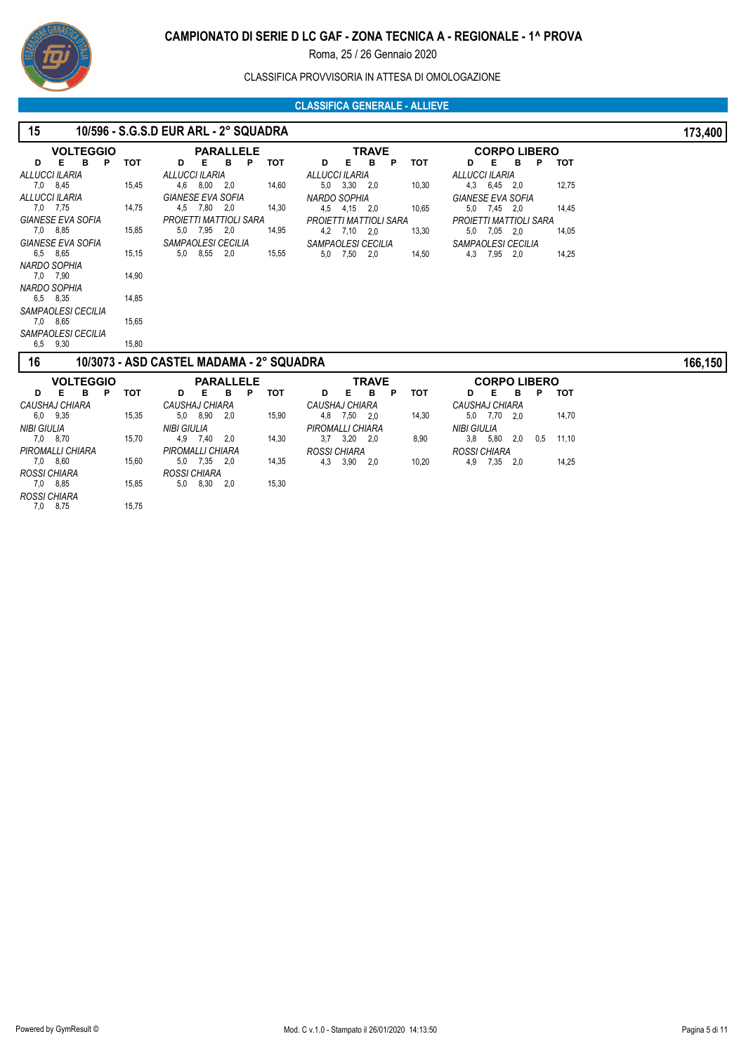

#### CLASSIFICA PROVVISORIA IN ATTESA DI OMOLOGAZIONE

#### **CLASSIFICA GENERALE - ALLIEVE**

| 15                       |            | 10/596 - S.G.S.D EUR ARL - 2° SQUADRA    |                                                                   | 173,400 |
|--------------------------|------------|------------------------------------------|-------------------------------------------------------------------|---------|
| <b>VOLTEGGIO</b>         |            | <b>PARALLELE</b>                         | <b>TRAVE</b><br><b>CORPO LIBERO</b>                               |         |
| Е<br>в<br>P<br>D         | <b>TOT</b> | Е<br>в<br>P<br><b>TOT</b><br>D           | B<br>Е<br>в<br>P<br><b>TOT</b><br>Е<br>P<br>тот<br>D<br>D         |         |
| ALLUCCI ILARIA           |            | ALLUCCI ILARIA                           | ALLUCCI ILARIA<br>ALLUCCI ILARIA                                  |         |
| 7,0 8,45                 | 15,45      | 4,6 8,00<br>14,60<br>2,0                 | 5,0 3,30 2,0<br>10,30<br>4,3 6,45 2,0<br>12,75                    |         |
| ALLUCCI ILARIA           |            | <b>GIANESE EVA SOFIA</b>                 | NARDO SOPHIA<br><b>GIANESE EVA SOFIA</b>                          |         |
| 7,0 7,75                 | 14,75      | 4,5 7,80 2,0<br>14,30                    | 4,5 4,15 2,0<br>10,65<br>5.0 7.45 2.0<br>14.45                    |         |
| <b>GIANESE EVA SOFIA</b> |            | <b>PROJETTI MATTIOLI SARA</b>            | PROJETTI MATTIOLI SARA<br>PROJETTI MATTIOLI SARA                  |         |
| 7,0 8,85                 | 15,85      | 5,0 7,95 2,0<br>14,95                    | 4,2 7,10 2,0<br>13,30<br>7.05 2.0<br>14,05<br>5,0                 |         |
| <b>GIANESE EVA SOFIA</b> |            | SAMPAOLESI CECILIA                       | SAMPAOLESI CECILIA<br>SAMPAOLESI CECILIA                          |         |
| 6,5 8,65                 | 15,15      | 5,0 8,55<br>2,0<br>15,55                 | 5,0 7,50 2,0<br>4,3 7,95 2,0<br>14,25<br>14,50                    |         |
| NARDO SOPHIA             |            |                                          |                                                                   |         |
| 7,0 7,90                 | 14.90      |                                          |                                                                   |         |
| NARDO SOPHIA             |            |                                          |                                                                   |         |
| 6,5 8,35                 | 14,85      |                                          |                                                                   |         |
| SAMPAOLESI CECILIA       |            |                                          |                                                                   |         |
| 7,0 8,65                 | 15.65      |                                          |                                                                   |         |
| SAMPAOLESI CECILIA       |            |                                          |                                                                   |         |
| 6,5 9,30                 | 15,80      |                                          |                                                                   |         |
| 16                       |            | 10/3073 - ASD CASTEL MADAMA - 2° SQUADRA |                                                                   | 166,150 |
| <b>VOLTEGGIO</b>         |            | <b>PARALLELE</b>                         | <b>TRAVE</b><br><b>CORPO LIBERO</b>                               |         |
| Е<br>в<br>P<br>D         | тот        | P<br>тот<br>D<br>Е<br>в                  | P<br>Е<br>в<br>тот<br>в<br>D<br>Е<br>Р<br>тот<br>D                |         |
| CAUSHAJ CHIARA           |            | CAUSHAJ CHIARA                           | CAUSHAJ CHIARA<br>CAUSHAJ CHIARA                                  |         |
| 6,0 9,35                 | 15,35      | 5,0 8,90<br>15,90<br>2,0                 | 14,30<br>4,8 7,50 2,0<br>7.70 2.0<br>14,70<br>5,0                 |         |
| <b>NIBI GIULIA</b>       |            | <b>NIBI GIULIA</b>                       | PIROMALLI CHIARA<br><b>NIBI GIULIA</b>                            |         |
| 7,0 8,70                 | 15,70      | 2,0<br>14,30<br>4,9 7,40                 | $3,7$ $3,20$ $2,0$<br>11,10<br>8,90<br>$3,8$ $5,80$<br>0.5<br>2,0 |         |

4,3 *ROSSI CHIARA* 3,90 2,0 10,20

4,9 *ROSSI CHIARA* 7,35 2,0 14,25

7,0 8,60 *PIROMALLI CHIARA*

 7,0 *ROSSI CHIARA* 8,85 15,85 7,0 *ROSSI CHIARA* 8,75 15,75

8,60 15,60

 5,0 *PIROMALLI CHIARA* 7,35 2,0 14,35 5,0 *ROSSI CHIARA* 8,30 2,0 15,30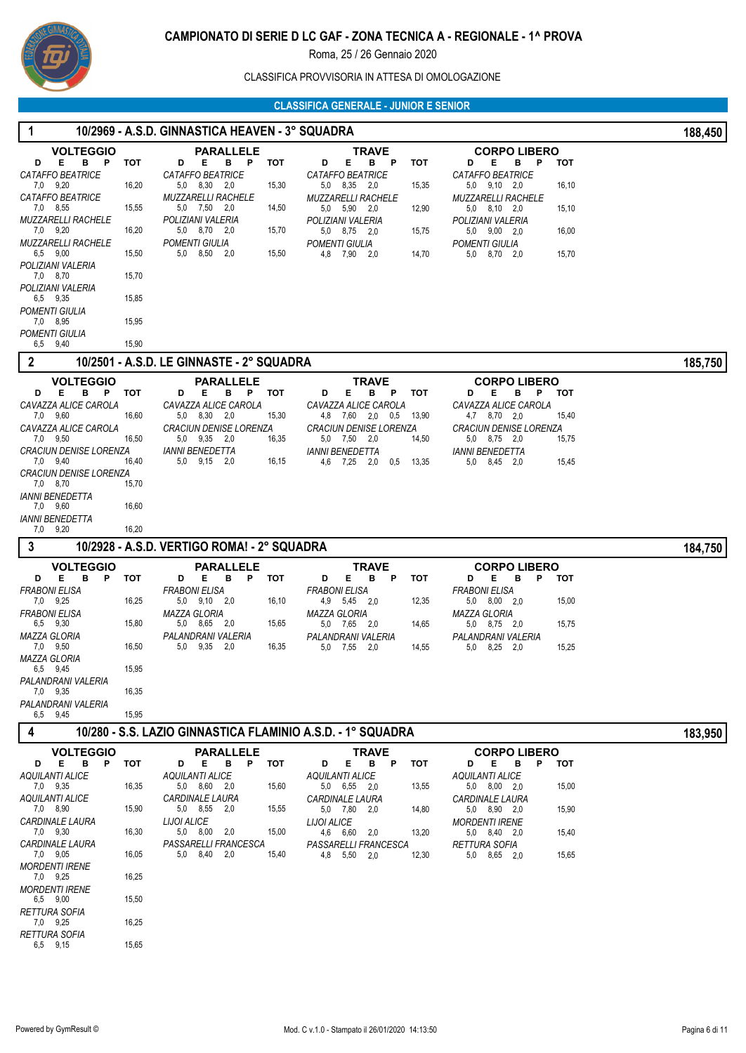

#### CLASSIFICA PROVVISORIA IN ATTESA DI OMOLOGAZIONE

| $\overline{1}$                            |            | 10/2969 - A.S.D. GINNASTICA HEAVEN - 3° SQUADRA             |                                                        |                                                               | 188,450 |
|-------------------------------------------|------------|-------------------------------------------------------------|--------------------------------------------------------|---------------------------------------------------------------|---------|
| <b>VOLTEGGIO</b>                          |            | <b>PARALLELE</b>                                            | <b>TRAVE</b>                                           | <b>CORPO LIBERO</b>                                           |         |
| Е<br>B.<br>P<br>D<br>CATAFFO BEATRICE     | тот        | D<br>Е<br>B.<br>P<br>тот<br>CATAFFO BEATRICE                | Е<br>P<br>D<br>в<br><b>TOT</b><br>CATAFFO BEATRICE     | Е<br>D<br>в<br>Ρ<br>тот<br><b>CATAFFO BEATRICE</b>            |         |
| 7.0 9.20                                  | 16,20      | 5,0 8,30 2,0<br>15,30                                       | 15,35<br>5,0 8,35 2,0                                  | $5,0$ $9,10$ $2,0$<br>16,10                                   |         |
| <b>CATAFFO BEATRICE</b><br>7,0 8,55       | 15,55      | <b>MUZZARELLI RACHELE</b><br>5,0 7,50 2,0<br>14,50          | <b>MUZZARELLI RACHELE</b><br>12,90<br>5,0 5,90 2,0     | <b>MUZZARELLI RACHELE</b><br>$5,0$ $8,10$ $2,0$<br>15,10      |         |
| <b>MUZZARELLI RACHELE</b>                 |            | POLIZIANI VALERIA                                           | POLIZIANI VALERIA                                      | POLIZIANI VALERIA                                             |         |
| 7,0 9,20<br><b>MUZZARELLI RACHELE</b>     | 16,20      | 5,0 8,70 2,0<br>15,70<br>POMENTI GIULIA                     | 5,0 8,75 2,0<br>15,75<br>POMENTI GIULIA                | $5,0$ $9,00$ $2,0$<br>16,00<br><b>POMENTI GIULIA</b>          |         |
| 6.5 9.00                                  | 15,50      | 5,0 8,50 2,0<br>15,50                                       | 4,8 7,90 2,0<br>14,70                                  | 5,0 8,70 2,0<br>15,70                                         |         |
| POLIZIANI VALERIA<br>7,0 8,70             | 15,70      |                                                             |                                                        |                                                               |         |
| POLIZIANI VALERIA<br>6,5 9,35             | 15,85      |                                                             |                                                        |                                                               |         |
| <b>POMENTI GIULIA</b>                     |            |                                                             |                                                        |                                                               |         |
| 7,0 8,95<br>POMENTI GIULIA                | 15,95      |                                                             |                                                        |                                                               |         |
| 6,5 9,40                                  | 15,90      |                                                             |                                                        |                                                               |         |
| $\overline{2}$                            |            | 10/2501 - A.S.D. LE GINNASTE - 2° SQUADRA                   |                                                        |                                                               | 185,750 |
| <b>VOLTEGGIO</b>                          |            | <b>PARALLELE</b>                                            | TRAVE                                                  | <b>CORPO LIBERO</b>                                           |         |
| Е<br>B P<br>D                             | тот        | Е<br>B P<br>тот<br>D                                        | Е<br>в<br>P<br>тот<br>D                                | Е<br>в<br>P<br>D<br>тот                                       |         |
| CAVAZZA ALICE CAROLA<br>7,0 9,60          | 16,60      | CAVAZZA ALICE CAROLA<br>5,0 8,30 2,0<br>15,30               | CAVAZZA ALICE CAROLA<br>4,8 7,60 2,0 0,5<br>13,90      | CAVAZZA ALICE CAROLA<br>4,7 8,70 2,0<br>15,40                 |         |
| CAVAZZA ALICE CAROLA<br>7,0 9,50          | 16,50      | <b>CRACIUN DENISE LORENZA</b><br>5,0 9,35 2,0<br>16,35      | <b>CRACIUN DENISE LORENZA</b><br>5,0 7,50 2,0<br>14,50 | <i><b>CRACIUN DENISE LORENZA</b></i><br>5,0 8,75 2,0<br>15,75 |         |
| <b>CRACIUN DENISE LORENZA</b>             |            | <b>IANNI BENEDETTA</b>                                      | <b>IANNI BENEDETTA</b>                                 | <b>IANNI BENEDETTA</b>                                        |         |
| 7,0 9,40<br><b>CRACIUN DENISE LORENZA</b> | 16,40      | 5,0 9,15 2,0<br>16,15                                       | 4,6 7,25<br>2,0<br>$0,5$ 13,35                         | 5,0 8,45 2,0<br>15,45                                         |         |
| 7,0 8,70                                  | 15,70      |                                                             |                                                        |                                                               |         |
| <i><b>IANNI BENEDETTA</b></i><br>7,0 9,60 | 16,60      |                                                             |                                                        |                                                               |         |
| <b>IANNI BENEDETTA</b>                    |            |                                                             |                                                        |                                                               |         |
| 7,0 9,20                                  | 16,20      |                                                             |                                                        |                                                               |         |
| $\mathbf{3}$                              |            | 10/2928 - A.S.D. VERTIGO ROMA! - 2° SQUADRA                 |                                                        |                                                               | 184,750 |
| <b>VOLTEGGIO</b><br>E<br>в<br>D<br>P      | тот        | <b>PARALLELE</b><br>Е<br>D<br>в<br>P<br>тот                 | <b>TRAVE</b><br>Е<br>в<br>D<br>P<br><b>TOT</b>         | <b>CORPO LIBERO</b><br>Е<br>в<br>D<br>P<br>тот                |         |
| <b>FRABONI ELISA</b>                      |            | <b>FRABONI ELISA</b>                                        | <b>FRABONI ELISA</b>                                   | <b>FRABONI ELISA</b>                                          |         |
| 7,0 9,25<br><b>FRABONI ELISA</b>          | 16,25      | 5,0 9,10 2,0<br>16,10<br><b>MAZZA GLORIA</b>                | 4,9 5,45 2,0<br>12,35<br><b>MAZZA GLORIA</b>           | 5,0 8,00 2,0<br>15,00<br><b>MAZZA GLORIA</b>                  |         |
| 6,5 9,30                                  | 15,80      | 5,0 8,65 2,0<br>15,65                                       | 5,0 7,65 2,0<br>14,65                                  | 5,0 8,75 2,0<br>15,75                                         |         |
| <b>MAZZA GLORIA</b><br>7,0 9,50           | 16,50      | PALANDRANI VALERIA<br>$9,35$ 2,0<br>5,0<br>16,35            | PALANDRANI VALERIA<br>5,0 7,55 2,0<br>14,55            | PALANDRANI VALERIA<br>15,25<br>5,0 8,25 2,0                   |         |
| <b>MAZZA GLORIA</b>                       |            |                                                             |                                                        |                                                               |         |
| 6.5 9,45<br>PALANDRANI VALERIA            | 15,95      |                                                             |                                                        |                                                               |         |
| 7,0 9,35                                  | 16,35      |                                                             |                                                        |                                                               |         |
| PALANDRANI VALERIA<br>6,5 9,45            | 15,95      |                                                             |                                                        |                                                               |         |
| $\overline{4}$                            |            | 10/280 - S.S. LAZIO GINNASTICA FLAMINIO A.S.D. - 1° SQUADRA |                                                        |                                                               | 183,950 |
| <b>VOLTEGGIO</b>                          |            | <b>PARALLELE</b>                                            | <b>TRAVE</b>                                           | <b>CORPO LIBERO</b>                                           |         |
| E.<br>B -<br>P<br>D                       | <b>TOT</b> | Е<br>D<br>B <sub>P</sub><br>тот<br><b>AQUILANTI ALICE</b>   | Е<br>B <sub>P</sub><br>D<br>тот                        | Е<br>B -<br>D<br>P.<br>тот                                    |         |
| <b>AQUILANTI ALICE</b><br>7,0 9,35        | 16,35      | 5,0 8,60 2,0<br>15,60                                       | <b>AQUILANTI ALICE</b><br>5,0 6,55 2,0<br>13,55        | <b>AQUILANTI ALICE</b><br>$5,0$ $8,00$ $2,0$<br>15,00         |         |
| <b>AQUILANTI ALICE</b><br>7,0 8,90        | 15,90      | <i><b>CARDINALE LAURA</b></i><br>5,0 8,55 2,0<br>15,55      | <i><b>CARDINALE LAURA</b></i><br>5,0 7,80 2,0<br>14,80 | <b>CARDINALE LAURA</b><br>5,0 8,90 2,0<br>15,90               |         |
| <i><b>CARDINALE LAURA</b></i>             |            | LIJOI ALICE                                                 | <b>LIJOI ALICE</b>                                     | <b>MORDENTI IRENE</b>                                         |         |
| 7,0 9,30<br><b>CARDINALE LAURA</b>        | 16,30      | 5,0 8,00 2,0<br>15,00<br>PASSARELLI FRANCESCA               | 4,6 6,60 2,0<br>13,20<br>PASSARELLI FRANCESCA          | 5,0 8,40 2,0<br>15,40<br><b>RETTURA SOFIA</b>                 |         |
| 7,0 9,05                                  | 16,05      | 5,0 8,40 2,0<br>15,40                                       | 4,8 5,50 2,0<br>12,30                                  | 15,65<br>5,0 8,65 2,0                                         |         |
| <b>MORDENTI IRENE</b><br>7.0 9,25         | 16,25      |                                                             |                                                        |                                                               |         |
| <b>MORDENTI IRENE</b>                     |            |                                                             |                                                        |                                                               |         |
| 6,5 9,00<br><b>RETTURA SOFIA</b>          | 15,50      |                                                             |                                                        |                                                               |         |
| 7,0 9,25                                  | 16,25      |                                                             |                                                        |                                                               |         |
| <b>RETTURA SOFIA</b><br>6,5 9,15          | 15,65      |                                                             |                                                        |                                                               |         |
|                                           |            |                                                             |                                                        |                                                               |         |
|                                           |            |                                                             |                                                        |                                                               |         |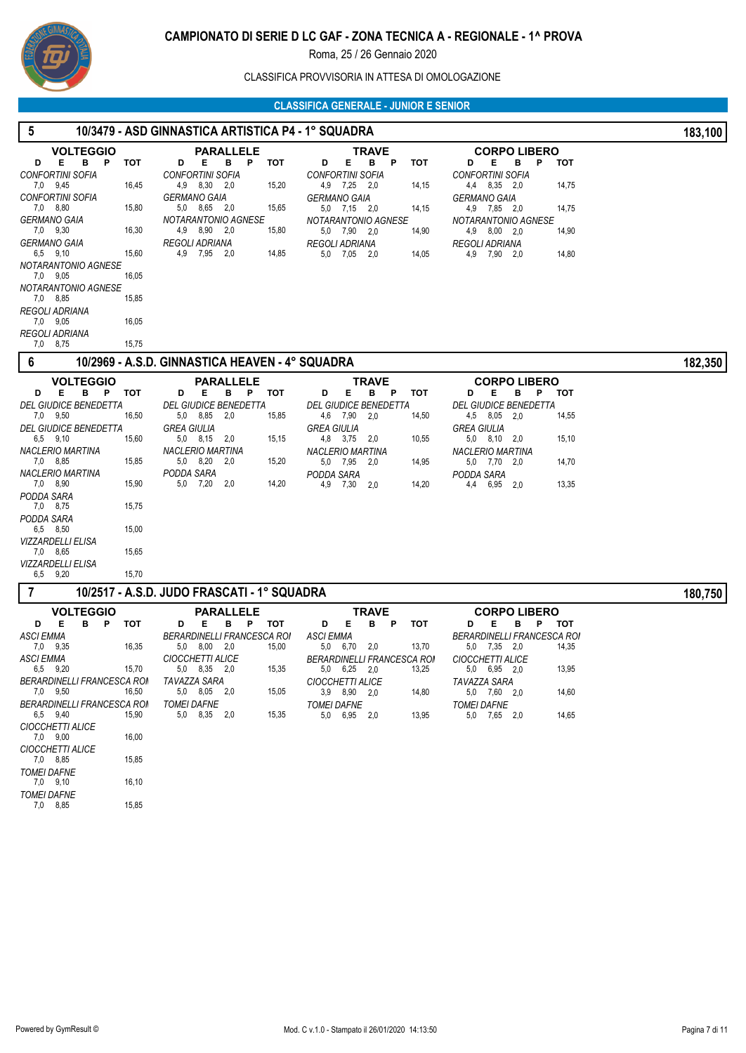

CLASSIFICA PROVVISORIA IN ATTESA DI OMOLOGAZIONE

| 5                                              | 10/3479 - ASD GINNASTICA ARTISTICA P4 - 1° SQUADRA |                                                          |                    |                                     | 183,100    |
|------------------------------------------------|----------------------------------------------------|----------------------------------------------------------|--------------------|-------------------------------------|------------|
| <b>VOLTEGGIO</b>                               | <b>PARALLELE</b>                                   | TRAVE                                                    |                    | <b>CORPO LIBERO</b>                 |            |
| E.<br>в<br>P<br><b>TOT</b><br>D                | Е<br>в<br>P<br>D                                   | Е<br>тот<br>в<br>P<br>D                                  | <b>TOT</b><br>D    | Е<br>в<br>Р                         | <b>TOT</b> |
| <b>CONFORTINI SOFIA</b>                        | <b>CONFORTINI SOFIA</b>                            | <b>CONFORTINI SOFIA</b>                                  |                    | <b>CONFORTINI SOFIA</b>             |            |
| 7,0 9,45<br>16,45                              | 4,9 8,30<br>2,0                                    | 15,20<br>4,9 7,25<br>2,0                                 | 14,15              | 4,4 8,35 2,0                        | 14,75      |
| <b>CONFORTINI SOFIA</b>                        | <b>GERMANO GAIA</b>                                | <b>GERMANO GAIA</b>                                      |                    | <b>GERMANO GAIA</b>                 |            |
| 7,0 8,80<br>15,80                              | 5,0 8,65 2,0                                       | 5,0 7,15 2,0<br>15,65                                    | 14,15              | 4,9 7,85 2,0                        | 14,75      |
| <b>GERMANO GAIA</b><br>7,0 9,30<br>16,30       | NOTARANTONIO AGNESE<br>4,9<br>8,90 2,0             | NOTARANTONIO AGNESE<br>15,80<br>5,0 7,90 2,0             | 14,90              | NOTARANTONIO AGNESE<br>4,9 8,00 2,0 | 14,90      |
| <b>GERMANO GAIA</b>                            | <b>REGOLI ADRIANA</b>                              | <b>REGOLI ADRIANA</b>                                    |                    | <b>REGOLI ADRIANA</b>               |            |
| 6,5 9,10<br>15,60                              | 4,9 7,95 2,0                                       | 14,85<br>5,0 7,05 2,0                                    | 14,05              | 4,9 7,90 2,0                        | 14,80      |
| NOTARANTONIO AGNESE<br>7,0 9,05<br>16,05       |                                                    |                                                          |                    |                                     |            |
| NOTARANTONIO AGNESE                            |                                                    |                                                          |                    |                                     |            |
| 7,0 8,85<br>15,85                              |                                                    |                                                          |                    |                                     |            |
| REGOLI ADRIANA                                 |                                                    |                                                          |                    |                                     |            |
| 7,0 9,05<br>16,05                              |                                                    |                                                          |                    |                                     |            |
| REGOLI ADRIANA<br>7,0 8,75<br>15,75            |                                                    |                                                          |                    |                                     |            |
| 6                                              | 10/2969 - A.S.D. GINNASTICA HEAVEN - 4° SQUADRA    |                                                          |                    |                                     | 182,350    |
|                                                |                                                    |                                                          |                    |                                     |            |
| <b>VOLTEGGIO</b><br>E<br>B <sub>P</sub><br>тот | <b>PARALLELE</b><br>Е                              | TRAVE                                                    |                    | <b>CORPO LIBERO</b><br>E.<br>в      |            |
| D<br><b>DEL GIUDICE BENEDETTA</b>              | B P<br>D<br><b>DEL GIUDICE BENEDETTA</b>           | тот<br>E.<br>D<br>в<br>P<br><b>DEL GIUDICE BENEDETTA</b> | тот<br>D           | P<br><b>DEL GIUDICE BENEDETTA</b>   | тот        |
| 7,0 9,50<br>16,50                              | 5,0 8,85 2,0                                       | 4,6 7,90<br>2,0<br>15,85                                 | 14,50              | 4,5 8,05 2,0                        | 14,55      |
| <b>DEL GIUDICE BENEDETTA</b>                   | <b>GREA GIULIA</b>                                 | <b>GREA GIULIA</b>                                       | <b>GREA GIULIA</b> |                                     |            |
| 6,5 9,10<br>15,60                              | $5,0$ $8,15$ $2,0$                                 | 15,15<br>4,8 3,75<br>2,0                                 | 10,55              | $5,0$ $8,10$ $2,0$                  | 15,10      |
| <b>NACLERIO MARTINA</b>                        | NACLERIO MARTINA                                   | NACLERIO MARTINA                                         |                    | <b>NACLERIO MARTINA</b>             |            |
| 7,0 8,85<br>15,85                              | 5,0 8,20 2,0                                       | 15,20<br>5,0 7,95<br>- 2.0                               | 14,95              | 5,0 7,70 2,0                        | 14,70      |
| <b>NACLERIO MARTINA</b><br>7,0 8,90<br>15,90   | PODDA SARA<br>5,0 7,20<br>2,0                      | PODDA SARA<br>14,20                                      | PODDA SARA         |                                     |            |
| PODDA SARA                                     |                                                    | 4,9 7,30<br>2,0                                          | 14,20<br>4,4       | 6,95<br>2,0                         | 13,35      |
| 7,0 8,75<br>15,75                              |                                                    |                                                          |                    |                                     |            |
| PODDA SARA                                     |                                                    |                                                          |                    |                                     |            |
| 15,00<br>6,5 8,50                              |                                                    |                                                          |                    |                                     |            |
| VIZZARDELLI ELISA                              |                                                    |                                                          |                    |                                     |            |
| 7,0 8,65<br>15,65                              |                                                    |                                                          |                    |                                     |            |
| VIZZARDELLI ELISA<br>6,5 9,20<br>15,70         |                                                    |                                                          |                    |                                     |            |
|                                                |                                                    |                                                          |                    |                                     |            |
| 7                                              | 10/2517 - A.S.D. JUDO FRASCATI - 1° SQUADRA        |                                                          |                    |                                     | 180,750    |
| <b>VOLTEGGIO</b>                               | <b>PARALLELE</b>                                   | <b>TRAVE</b>                                             |                    | <b>CORPO LIBERO</b>                 |            |
| Е<br>в<br>P<br><b>TOT</b><br>D                 | Е<br>в<br>P<br>D                                   | Е<br>тот<br>в<br>Ρ<br>D                                  | тот<br>D           | Е<br>P<br>в                         | тот        |
| <b>ASCI EMMA</b><br>16,35                      | <b>BERARDINELLI FRANCESCA ROM</b><br>5,0 8,00 2,0  | <b>ASCI EMMA</b><br>15,00<br>2,0                         | 13,70              | <b>BERARDINELLI FRANCESCA ROI</b>   |            |
| 7,0 9,35<br>ASCI EMMA                          | CIOCCHETTI ALICE                                   | 5,0<br>6,70<br><b>BERARDINELLI FRANCESCA ROM</b>         |                    | 5,0 7,35 2,0<br>CIOCCHETTI ALICE    | 14,35      |
| 6,5 9,20<br>15,70                              | 5,0 8,35 2,0                                       | 15,35<br>$5,0$ $6,25$ $2,0$                              | 13,25              | 5,0 6,95 2,0                        | 13,95      |
| BERARDINELLI FRANCESCA ROI                     | TAVAZZA SARA                                       | CIOCCHETTI ALICE                                         |                    | TAVAZZA SARA                        |            |
| 7,0 9,50<br>16,50                              | 5,0 8,05 2,0                                       | 15,05<br>3,9 8,90 2,0                                    | 14,80              | 5,0 7,60 2,0                        | 14,60      |
| <b>BERARDINELLI FRANCESCA ROI</b>              | <b>TOMEI DAFNE</b>                                 | <b>TOMEI DAFNE</b>                                       | <b>TOMEI DAFNE</b> |                                     |            |
| 6,5 9,40<br>15,90                              | 5,0 8,35 2,0                                       | 15,35<br>5,0 6,95 2,0                                    | 13,95              | 5,0 7,65 2,0                        | 14,65      |
| CIOCCHETTI ALICE<br>7,0 9,00<br>16,00          |                                                    |                                                          |                    |                                     |            |
| CIOCCHETTI ALICE                               |                                                    |                                                          |                    |                                     |            |
| 15,85<br>7,0 8,85                              |                                                    |                                                          |                    |                                     |            |
| <b>TOMEI DAFNE</b>                             |                                                    |                                                          |                    |                                     |            |
| 16,10<br>7,0 9,10<br><b>TOMEI DAFNE</b>        |                                                    |                                                          |                    |                                     |            |
| 7,0 8,85<br>15,85                              |                                                    |                                                          |                    |                                     |            |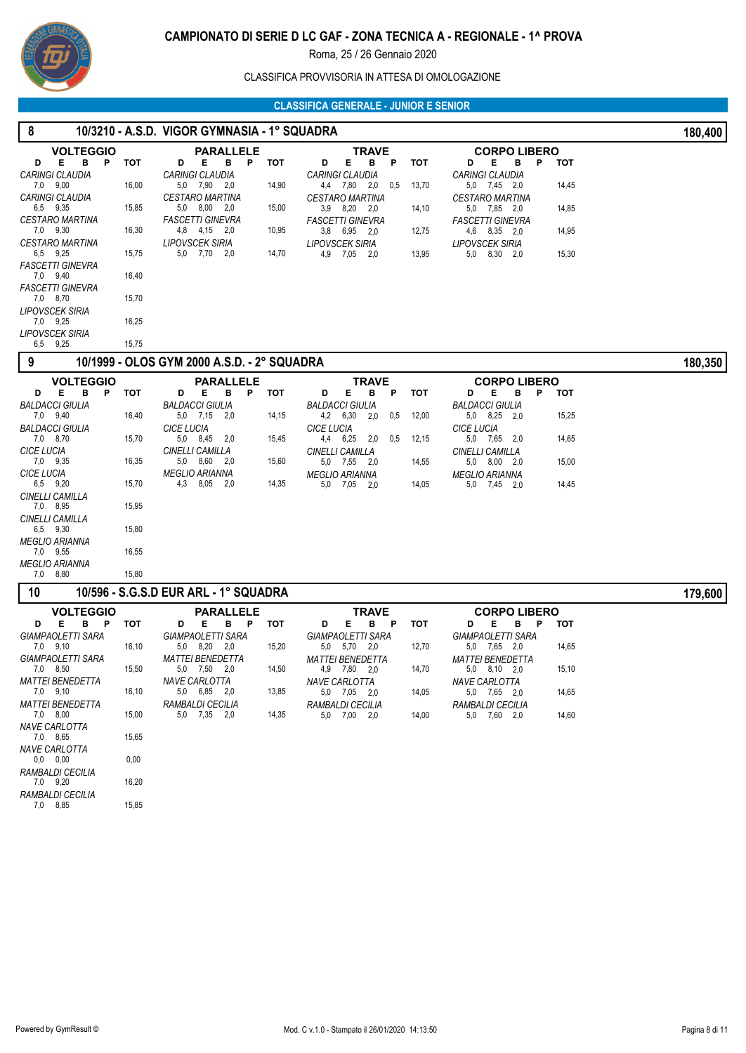

## CLASSIFICA PROVVISORIA IN ATTESA DI OMOLOGAZIONE

| 8                                                |       | 10/3210 - A.S.D. VIGOR GYMNASIA - 1° SQUADRA |       |                                           |            |                                          |       | 180,400 |
|--------------------------------------------------|-------|----------------------------------------------|-------|-------------------------------------------|------------|------------------------------------------|-------|---------|
| <b>VOLTEGGIO</b>                                 |       | <b>PARALLELE</b>                             |       | <b>TRAVE</b>                              |            | <b>CORPO LIBERO</b>                      |       |         |
| в<br>E.<br>D<br>$\mathsf{P}$                     | тот   | В<br>Е.<br>D<br><b>P</b>                     | тот   | Е<br>в<br>D<br>P                          | тот        | D<br>Е<br>в<br>P                         | тот   |         |
| CARINGI CLAUDIA<br>7,0 9,00                      | 16,00 | <b>CARINGI CLAUDIA</b><br>5,0 7,90 2,0       | 14,90 | CARINGI CLAUDIA<br>4,4 7,80 2,0<br>0,5    | 13,70      | <b>CARINGI CLAUDIA</b><br>5,0 7,45 2,0   | 14,45 |         |
| CARINGI CLAUDIA                                  |       | <i><b>CESTARO MARTINA</b></i>                |       | <b>CESTARO MARTINA</b>                    |            | <i><b>CESTARO MARTINA</b></i>            |       |         |
| 6,5 9,35                                         | 15,85 | 5,0 8,00 2,0                                 | 15,00 | 3,9 8,20 2,0                              | 14,10      | 5,0 7,85 2,0                             | 14,85 |         |
| <i><b>CESTARO MARTINA</b></i>                    |       | <b>FASCETTI GINEVRA</b>                      |       | <b>FASCETTI GINEVRA</b>                   |            | <b>FASCETTI GINEVRA</b>                  |       |         |
| 7,0 9,30<br><i><b>CESTARO MARTINA</b></i>        | 16,30 | 4,8 4,15 2,0<br><b>LIPOVSCEK SIRIA</b>       | 10,95 | 3,8 6,95 2,0<br><b>LIPOVSCEK SIRIA</b>    | 12,75      | 4,6 8,35 2,0<br><b>LIPOVSCEK SIRIA</b>   | 14,95 |         |
| 6,5 9,25                                         | 15,75 | 5,0 7,70 2,0                                 | 14,70 | 4,9 7,05<br>2,0                           | 13,95      | 5,0 8,30 2,0                             | 15,30 |         |
| <b>FASCETTI GINEVRA</b>                          |       |                                              |       |                                           |            |                                          |       |         |
| 7,0 9,40                                         | 16,40 |                                              |       |                                           |            |                                          |       |         |
| <b>FASCETTI GINEVRA</b><br>7,0 8,70              | 15,70 |                                              |       |                                           |            |                                          |       |         |
| LIPOVSCEK SIRIA                                  |       |                                              |       |                                           |            |                                          |       |         |
| 7,0 9,25                                         | 16,25 |                                              |       |                                           |            |                                          |       |         |
| LIPOVSCEK SIRIA<br>6,5 9,25                      | 15,75 |                                              |       |                                           |            |                                          |       |         |
| 9                                                |       | 10/1999 - OLOS GYM 2000 A.S.D. - 2° SQUADRA  |       |                                           |            |                                          |       |         |
|                                                  |       |                                              |       |                                           |            |                                          |       | 180,350 |
| <b>VOLTEGGIO</b><br>в<br>E.<br>$\mathsf{P}$<br>D | тот   | <b>PARALLELE</b><br>D<br>Е<br>в<br>P.        | тот   | <b>TRAVE</b><br>E<br>в<br>P<br>D          | <b>TOT</b> | <b>CORPO LIBERO</b><br>Е<br>D<br>в<br>P  | тот   |         |
| <b>BALDACCI GIULIA</b>                           |       | <b>BALDACCI GIULIA</b>                       |       | <b>BALDACCI GIULIA</b>                    |            | <b>BALDACCI GIULIA</b>                   |       |         |
| 7,0 9,40                                         | 16,40 | 5,0 7,15 2,0                                 | 14,15 | 4,2 6,30<br>0,5<br>-2,0                   | 12,00      | 5,0 8,25 2,0                             | 15,25 |         |
| <b>BALDACCI GIULIA</b>                           |       | <b>CICE LUCIA</b>                            |       | <b>CICE LUCIA</b>                         |            | <b>CICE LUCIA</b>                        |       |         |
| 7,0 8,70<br><b>CICE LUCIA</b>                    | 15,70 | 5.0 8.45 2.0<br>CINELLI CAMILLA              | 15,45 | 4,4 6,25<br>2,0<br>0,5<br>CINELLI CAMILLA | 12,15      | 5,0 7,65<br>2,0<br>CINELLI CAMILLA       | 14,65 |         |
| 7,0 9,35                                         | 16,35 | 5.0 8.60 2.0                                 | 15,60 | 5,0 7,55<br>2,0                           | 14,55      | 5,0 8,00 2,0                             | 15,00 |         |
| <b>CICE LUCIA</b>                                |       | <b>MEGLIO ARIANNA</b>                        |       | <b>MEGLIO ARIANNA</b>                     |            | <b>MEGLIO ARIANNA</b>                    |       |         |
| 6,5 9,20                                         | 15,70 | 4,3<br>8,05 2,0                              | 14,35 | 5,0 7,05<br>2,0                           | 14,05      | 5,0 7,45 2,0                             | 14,45 |         |
| CINELLI CAMILLA<br>7,0 8,95                      | 15,95 |                                              |       |                                           |            |                                          |       |         |
| CINELLI CAMILLA                                  |       |                                              |       |                                           |            |                                          |       |         |
| 6,5 9,30                                         | 15,80 |                                              |       |                                           |            |                                          |       |         |
| MEGLIO ARIANNA<br>7,0 9,55                       | 16,55 |                                              |       |                                           |            |                                          |       |         |
| <b>MEGLIO ARIANNA</b>                            |       |                                              |       |                                           |            |                                          |       |         |
| 8,80<br>7,0                                      | 15,80 |                                              |       |                                           |            |                                          |       |         |
| 10                                               |       | 10/596 - S.G.S.D EUR ARL - 1° SQUADRA        |       |                                           |            |                                          |       | 179,600 |
| <b>VOLTEGGIO</b>                                 |       | <b>PARALLELE</b>                             |       | <b>TRAVE</b>                              |            | <b>CORPO LIBERO</b>                      |       |         |
| Е<br>в<br>P<br>D                                 | тот   | Е<br>в<br>P<br>D                             | тот   | E.<br>в<br>Ρ<br>D                         | тот        | Е<br>в<br>P<br>D                         | тот   |         |
| <b>GIAMPAOLETTI SARA</b><br>7,0 9,10             | 16,10 | GIAMPAOLETTI SARA<br>5,0 8,20 2,0            |       | <b>GIAMPAOLETTI SARA</b><br>5,0 5,70 2,0  |            | <b>GIAMPAOLETTI SARA</b><br>5,0 7,65 2,0 |       |         |
| <b>GIAMPAOLETTI SARA</b>                         |       | <i><b>MATTEI BENEDETTA</b></i>               | 15,20 | <b>MATTEI BENEDETTA</b>                   | 12,70      | <b>MATTEI BENEDETTA</b>                  | 14,65 |         |
| 7,0 8,50                                         | 15,50 | 5,0 7,50 2,0                                 | 14,50 | 4,9 7,80 2,0                              | 14,70      | 5,0 8,10 2,0                             | 15,10 |         |
| MATTEI BENEDETTA                                 |       | NAVE CARLOTTA                                |       | NAVE CARLOTTA                             |            | <b>NAVE CARLOTTA</b>                     |       |         |
| 7,0 9,10<br><i>MATTEI BENEDETTA</i>              | 16,10 | 5,0 6,85 2,0<br>RAMBALDI CECILIA             | 13,85 | 5,0 7,05 2,0<br>RAMBALDI CECILIA          | 14,05      | 5,0 7,65 2,0                             | 14,65 |         |
| 7,0 8,00                                         | 15,00 | 5,0 7,35 2,0                                 | 14,35 | 5,0 7,00 2,0                              | 14,00      | RAMBALDI CECILIA<br>5,0 7,60 2,0         | 14,60 |         |
| <b>NAVE CARLOTTA</b>                             |       |                                              |       |                                           |            |                                          |       |         |
| 7,0 8,65                                         | 15,65 |                                              |       |                                           |            |                                          |       |         |
| <b>NAVE CARLOTTA</b><br>0.0 0.00                 | 0,00  |                                              |       |                                           |            |                                          |       |         |
| RAMBALDI CECILIA                                 |       |                                              |       |                                           |            |                                          |       |         |
| 7,0 9,20                                         | 16,20 |                                              |       |                                           |            |                                          |       |         |
| RAMBALDI CECILIA<br>7,0 8,85                     | 15,85 |                                              |       |                                           |            |                                          |       |         |
|                                                  |       |                                              |       |                                           |            |                                          |       |         |
|                                                  |       |                                              |       |                                           |            |                                          |       |         |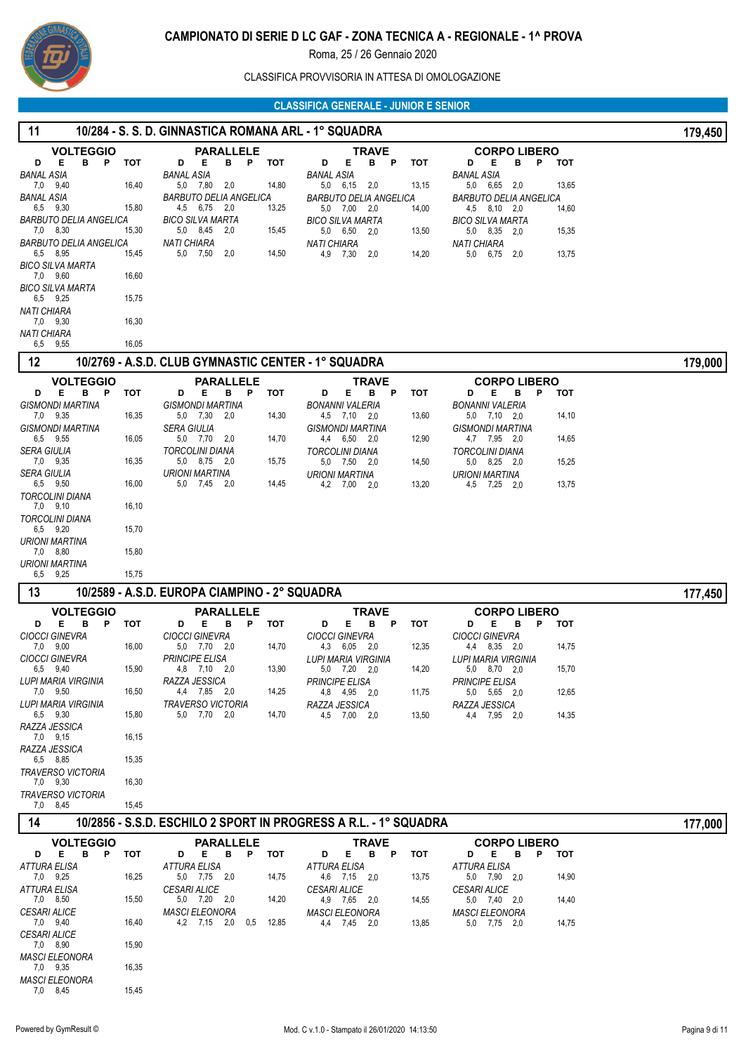

## CLASSIFICA PROVVISORIA IN ATTESA DI OMOLOGAZIONE

| 11                                   | 10/284 - S. S. D. GINNASTICA ROMANA ARL - 1° SQUADRA |                                                     |       |                                                                  |            |                                                           |       |         |  |
|--------------------------------------|------------------------------------------------------|-----------------------------------------------------|-------|------------------------------------------------------------------|------------|-----------------------------------------------------------|-------|---------|--|
| <b>VOLTEGGIO</b>                     |                                                      | <b>PARALLELE</b>                                    |       | <b>TRAVE</b>                                                     |            | <b>CORPO LIBERO</b>                                       |       |         |  |
| D<br>E.<br>B<br>P<br>BANAL ASIA      | тот                                                  | D<br>Е<br>в<br>P<br>BANAL ASIA                      | тот   | D<br>Е<br>в<br>P<br><b>BANAL ASIA</b>                            | <b>TOT</b> | Е<br>D<br>в<br>P<br><b>BANAL ASIA</b>                     | тот   |         |  |
| 7,0 9,40                             | 16,40                                                | 5,0 7,80<br>2,0                                     | 14,80 | 5,0 6,15<br>2,0                                                  | 13,15      | 5,0 6,65<br>2,0                                           | 13,65 |         |  |
| <b>BANAL ASIA</b><br>6,5 9,30        | 15,80                                                | BARBUTO DELIA ANGELICA<br>4,5<br>6,75 2,0           | 13,25 | BARBUTO DELIA ANGELICA<br>5,0 7,00<br>2.0                        | 14,00      | BARBUTO DELIA ANGELICA<br>4.5 8.10 2.0                    | 14,60 |         |  |
| BARBUTO DELIA ANGELICA<br>7,0 8,30   | 15,30                                                | <b>BICO SILVA MARTA</b><br>5,0 8,45 2,0             | 15,45 | <b>BICO SILVA MARTA</b><br>5,0 6,50<br>2,0                       | 13,50      | BICO SILVA MARTA<br>5,0 8,35 2,0                          | 15,35 |         |  |
| BARBUTO DELIA ANGELICA               |                                                      | <b>NATI CHIARA</b>                                  |       | <b>NATI CHIARA</b>                                               |            | <b>NATI CHIARA</b>                                        |       |         |  |
| 6,5 8,95<br><b>BICO SILVA MARTA</b>  | 15,45                                                | 5,0 7,50<br>2,0                                     | 14,50 | 4,9 7,30<br>2,0                                                  | 14,20      | 5,0<br>6,75<br>2,0                                        | 13,75 |         |  |
| 7,0 9,60                             | 16,60                                                |                                                     |       |                                                                  |            |                                                           |       |         |  |
| <b>BICO SILVA MARTA</b><br>6,5 9,25  | 15,75                                                |                                                     |       |                                                                  |            |                                                           |       |         |  |
| <b>NATI CHIARA</b><br>7,0 9,30       | 16,30                                                |                                                     |       |                                                                  |            |                                                           |       |         |  |
| <b>NATI CHIARA</b>                   |                                                      |                                                     |       |                                                                  |            |                                                           |       |         |  |
| 9,55<br>6,5                          | 16,05                                                |                                                     |       |                                                                  |            |                                                           |       |         |  |
| 12                                   |                                                      | 10/2769 - A.S.D. CLUB GYMNASTIC CENTER - 1° SQUADRA |       |                                                                  |            |                                                           |       | 179,000 |  |
| <b>VOLTEGGIO</b><br>Е<br>в<br>P<br>D | тот                                                  | <b>PARALLELE</b><br>Е<br>Ρ<br>D<br>в                | тот   | <b>TRAVE</b><br>Е<br>в<br>P<br>D                                 | тот        | <b>CORPO LIBERO</b><br>D<br>Е<br>в<br>P                   | тот   |         |  |
| <b>GISMONDI MARTINA</b>              |                                                      | GISMONDI MARTINA                                    |       | <b>BONANNI VALERIA</b>                                           |            | <b>BONANNI VALERIA</b>                                    |       |         |  |
| 7,0 9,35<br><b>GISMONDI MARTINA</b>  | 16,35                                                | 5,0 7,30<br>2,0<br>SERA GIULIA                      | 14,30 | 4,5 7,10 2,0<br><b>GISMONDI MARTINA</b>                          | 13,60      | 5,0 7,10 2,0<br>GISMONDI MARTINA                          | 14,10 |         |  |
| 6,5 9,55<br><b>SERA GIULIA</b>       | 16,05                                                | 5,0 7,70<br>- 2,0<br><b>TORCOLINI DIANA</b>         | 14,70 | 4,4 6,50 2,0                                                     | 12,90      | 4,7 7,95 2,0<br><b>TORCOLINI DIANA</b>                    | 14,65 |         |  |
| 7,0 9,35                             | 16,35                                                | 5,0 8,75 2,0                                        | 15,75 | <b>TORCOLINI DIANA</b><br>5,0 7,50<br>- 2.0                      | 14,50      | 5,0 8,25 2,0                                              | 15,25 |         |  |
| SERA GIULIA<br>6,5 9,50              | 16,00                                                | URIONI MARTINA<br>5,0 7,45 2,0                      | 14,45 | <b>URIONI MARTINA</b><br>4,2 7,00<br>2,0                         | 13,20      | URIONI MARTINA<br>4,5 7,25 2,0                            | 13,75 |         |  |
| <b>TORCOLINI DIANA</b>               |                                                      |                                                     |       |                                                                  |            |                                                           |       |         |  |
| 7,0 9,10<br><b>TORCOLINI DIANA</b>   | 16,10                                                |                                                     |       |                                                                  |            |                                                           |       |         |  |
| 6,5 9,20                             | 15,70                                                |                                                     |       |                                                                  |            |                                                           |       |         |  |
| <b>URIONI MARTINA</b><br>7,0 8,80    | 15,80                                                |                                                     |       |                                                                  |            |                                                           |       |         |  |
| <b>URIONI MARTINA</b>                |                                                      |                                                     |       |                                                                  |            |                                                           |       |         |  |
|                                      |                                                      |                                                     |       |                                                                  |            |                                                           |       |         |  |
| 9,25<br>6,5<br>13                    | 15,75                                                | 10/2589 - A.S.D. EUROPA CIAMPINO - 2° SQUADRA       |       |                                                                  |            |                                                           |       |         |  |
| <b>VOLTEGGIO</b>                     |                                                      | <b>PARALLELE</b>                                    |       | <b>TRAVE</b>                                                     |            | <b>CORPO LIBERO</b>                                       |       | 177,450 |  |
| D<br>E<br>в<br>P                     | тот                                                  | D<br>Е<br>в<br>P                                    | тот   | D<br>Е<br>в<br>P                                                 | <b>TOT</b> | P<br>D<br>Е<br>в                                          | тот   |         |  |
| <b>CIOCCI GINEVRA</b><br>7,0 9,00    | 16,00                                                | <b>CIOCCI GINEVRA</b><br>5,0 7,70 2,0               | 14,70 | <b>CIOCCI GINEVRA</b><br>4,3 6,05 2,0                            | 12,35      | <b>CIOCCI GINEVRA</b><br>4,4 8,35 2,0                     | 14,75 |         |  |
| <b>CIOCCI GINEVRA</b>                |                                                      | PRINCIPE ELISA                                      |       | LUPI MARIA VIRGINIA                                              |            | LUPI MARIA VIRGINIA                                       |       |         |  |
| 6,5 9,40<br>LUPI MARIA VIRGINIA      | 15,90                                                | 4,8 7,10 2,0<br>RAZZA JESSICA                       | 13,90 | 5,0 7,20 2,0<br>PRINCIPE ELISA                                   | 14,20      | 5,0 8,70 2,0<br>PRINCIPE ELISA                            | 15,70 |         |  |
| 7,0 9,50                             | 16,50                                                | 4,4 7,85 2,0                                        | 14,25 | 4,8 4,95 2,0                                                     | 11,75      | 5,0 5,65 2,0                                              | 12,65 |         |  |
| LUPI MARIA VIRGINIA<br>6.5 9.30      | 15,80                                                | <b>TRAVERSO VICTORIA</b><br>5,0 7,70 2,0            | 14,70 | RAZZA JESSICA<br>4,5 7,00 2,0                                    | 13,50      | RAZZA JESSICA<br>4,4 7,95 2,0                             | 14,35 |         |  |
| RAZZA JESSICA<br>7,0 9,15            | 16,15                                                |                                                     |       |                                                                  |            |                                                           |       |         |  |
| RAZZA JESSICA                        |                                                      |                                                     |       |                                                                  |            |                                                           |       |         |  |
| 6,5 8,85<br><b>TRAVERSO VICTORIA</b> | 15,35                                                |                                                     |       |                                                                  |            |                                                           |       |         |  |
| 7,0 9,30                             | 16,30                                                |                                                     |       |                                                                  |            |                                                           |       |         |  |
| <b>TRAVERSO VICTORIA</b><br>7,0 8,45 | 15,45                                                |                                                     |       |                                                                  |            |                                                           |       |         |  |
| 14                                   |                                                      |                                                     |       | 10/2856 - S.S.D. ESCHILO 2 SPORT IN PROGRESS A R.L. - 1° SQUADRA |            |                                                           |       | 177,000 |  |
| <b>VOLTEGGIO</b>                     |                                                      | <b>PARALLELE</b>                                    |       | <b>TRAVE</b>                                                     |            | <b>CORPO LIBERO</b>                                       |       |         |  |
| D E<br>B<br>P<br>ATTURA ELISA        | тот                                                  | B P<br>E.<br>D<br><b>ATTURA ELISA</b>               | тот   | Е<br>B.<br>D<br>P<br><b>ATTURA ELISA</b>                         | тот        | <b>E</b><br>в<br>$\mathbf{P}$<br>D<br><b>ATTURA ELISA</b> | тот   |         |  |
| 7,0 9,25                             | 16,25                                                | 5,0 7,75 2,0                                        | 14,75 | 4,6 7,15 2,0                                                     | 13,75      | 5,0 7,90 2,0                                              | 14,90 |         |  |
| <b>ATTURA ELISA</b><br>7,0 8,50      | 15,50                                                | <b>CESARI ALICE</b><br>5,0 7,20 2,0                 | 14,20 | <b>CESARI ALICE</b><br>4,9 7,65 2,0                              | 14,55      | <b>CESARI ALICE</b><br>5,0 7,40 2,0                       | 14,40 |         |  |
| <b>CESARI ALICE</b><br>7,0 9,40      | 16,40                                                | <b>MASCI ELEONORA</b><br>4,2 7,15 2,0 0,5           | 12,85 | <b>MASCI ELEONORA</b>                                            |            | <b>MASCI ELEONORA</b>                                     |       |         |  |
| <i><b>CESARI ALICE</b></i>           |                                                      |                                                     |       | 4,4 7,45 2,0                                                     | 13,85      | 5,0 7,75 2,0                                              | 14,75 |         |  |
| 7,0 8,90<br><b>MASCI ELEONORA</b>    | 15,90                                                |                                                     |       |                                                                  |            |                                                           |       |         |  |
| 7,0 9,35                             | 16,35                                                |                                                     |       |                                                                  |            |                                                           |       |         |  |
| <b>MASCI ELEONORA</b><br>7,0 8,45    | 15,45                                                |                                                     |       |                                                                  |            |                                                           |       |         |  |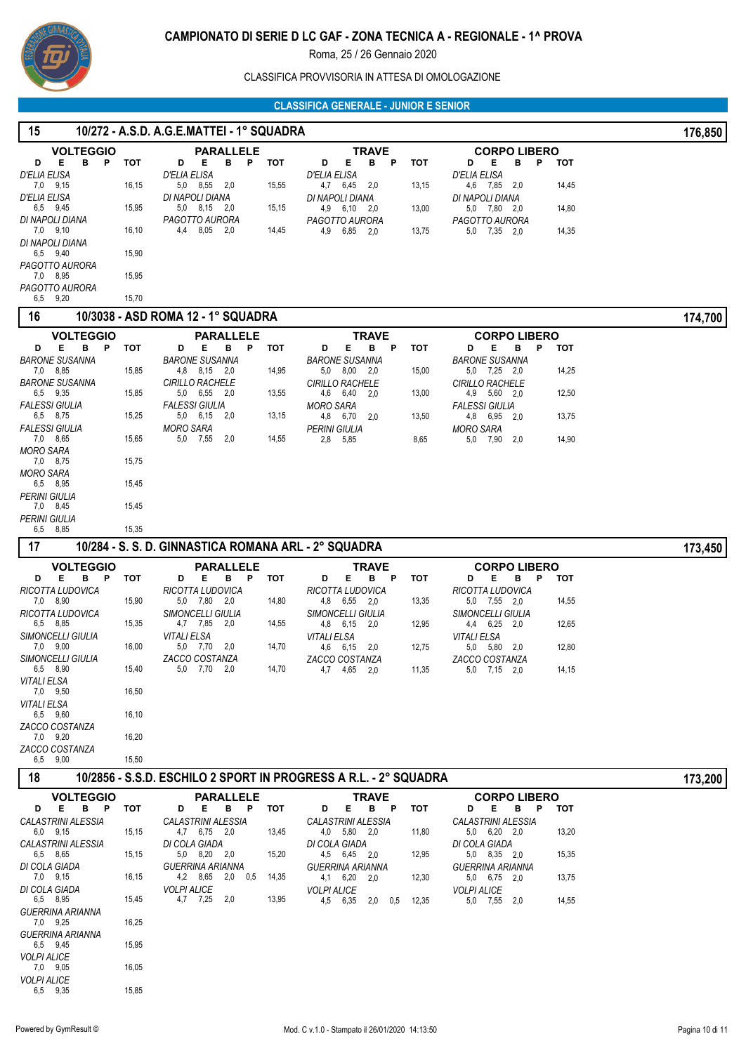

## CLASSIFICA PROVVISORIA IN ATTESA DI OMOLOGAZIONE

# **CLASSIFICA GENERALE - JUNIOR E SENIOR**

| 15                                    |            | 10/272 - A.S.D. A.G.E.MATTEI - 1° SQUADRA            |       | <u>ULAJJIFIUA ULINENALE "JUNIUN E JENIUN</u>                     |            |                                               |       | 176,850 |
|---------------------------------------|------------|------------------------------------------------------|-------|------------------------------------------------------------------|------------|-----------------------------------------------|-------|---------|
| <b>VOLTEGGIO</b>                      |            | <b>PARALLELE</b>                                     |       | <b>TRAVE</b>                                                     |            | <b>CORPO LIBERO</b>                           |       |         |
| в<br>Е.<br>$\mathsf{P}$<br>D          | тот        | B P TOT<br>D<br>Е                                    |       | E.<br>в<br>$\mathsf{P}$<br>D                                     | <b>TOT</b> | Е<br>в<br>P<br>D                              | тот   |         |
| D'ELIA ELISA<br>7,0 9,15              | 16,15      | D'ELIA ELISA<br>5,0 8,55 2,0                         | 15,55 | D'ELIA ELISA<br>4,7 6,45<br>2,0                                  | 13,15      | <b>D'ELIA ELISA</b><br>4,6 7,85 2,0           | 14,45 |         |
| D'ELIA ELISA                          |            | DI NAPOLI DIANA                                      |       | DI NAPOLI DIANA                                                  |            | DI NAPOLI DIANA                               |       |         |
| 6,5 9,45                              | 15,95      | 5,0 8,15 2,0                                         | 15,15 | 4,9 6,10 2,0                                                     | 13,00      | 5,0 7,80 2,0                                  | 14,80 |         |
| DI NAPOLI DIANA<br>7,0 9,10           | 16,10      | PAGOTTO AURORA<br>4,4 8,05 2,0                       | 14,45 | PAGOTTO AURORA<br>4,9 6,85<br>- 2.0                              | 13,75      | PAGOTTO AURORA<br>5,0 7,35 2,0                | 14,35 |         |
| DI NAPOLI DIANA                       |            |                                                      |       |                                                                  |            |                                               |       |         |
| 6,5 9,40<br>PAGOTTO AURORA            | 15,90      |                                                      |       |                                                                  |            |                                               |       |         |
| 7,0 8,95                              | 15,95      |                                                      |       |                                                                  |            |                                               |       |         |
| PAGOTTO AURORA<br>9,20<br>6,5         | 15,70      |                                                      |       |                                                                  |            |                                               |       |         |
| 16                                    |            | 10/3038 - ASD ROMA 12 - 1° SQUADRA                   |       |                                                                  |            |                                               |       | 174,700 |
| <b>VOLTEGGIO</b>                      |            | <b>PARALLELE</b>                                     |       | <b>TRAVE</b>                                                     |            | <b>CORPO LIBERO</b>                           |       |         |
| в<br>Е<br>P<br>D                      | тот        | Е<br>в<br>P<br>D                                     | тот   | Е<br>в<br>P<br>D                                                 | тот        | Е<br>D<br>в<br>P                              | тот   |         |
| <b>BARONE SUSANNA</b><br>7,0 8,85     | 15,85      | <b>BARONE SUSANNA</b><br>4,8 8,15 2,0                | 14,95 | <b>BARONE SUSANNA</b><br>$5,0$ $8,00$ $2,0$                      | 15,00      | <b>BARONE SUSANNA</b><br>5,0 7,25 2,0         | 14,25 |         |
| <b>BARONE SUSANNA</b>                 |            | <b>CIRILLO RACHELE</b>                               |       | <b>CIRILLO RACHELE</b>                                           |            | <b>CIRILLO RACHELE</b>                        |       |         |
| 6,5 9,35                              | 15,85      | 5,0 6,55 2,0                                         | 13,55 | 4,6 6,40 2,0                                                     | 13,00      | 4,9 5,60 2,0                                  | 12,50 |         |
| <b>FALESSI GIULIA</b><br>6,5 8,75     | 15,25      | <b>FALESSI GIULIA</b><br>5,0 6,15 2,0                | 13,15 | <b>MORO SARA</b><br>4,8 6,70 2,0                                 | 13,50      | <b>FALESSI GIULIA</b><br>4,8 6,95 2,0         | 13,75 |         |
| <b>FALESSI GIULIA</b>                 |            | <b>MORO SARA</b>                                     |       | <b>PERINI GIULIA</b>                                             |            | <b>MORO SARA</b>                              |       |         |
| 7,0 8,65<br><b>MORO SARA</b>          | 15,65      | 5,0 7,55<br>2,0                                      | 14,55 | 2,8 5,85                                                         | 8,65       | 5,0 7,90<br>2,0                               | 14,90 |         |
| 7,0 8,75                              | 15,75      |                                                      |       |                                                                  |            |                                               |       |         |
| <b>MORO SARA</b><br>6,5 8,95          | 15,45      |                                                      |       |                                                                  |            |                                               |       |         |
| <b>PERINI GIULIA</b>                  |            |                                                      |       |                                                                  |            |                                               |       |         |
| 7,0 8,45<br><b>PERINI GIULIA</b>      | 15,45      |                                                      |       |                                                                  |            |                                               |       |         |
| 6,5 8,85                              | 15,35      |                                                      |       |                                                                  |            |                                               |       |         |
| 17                                    |            | 10/284 - S. S. D. GINNASTICA ROMANA ARL - 2° SQUADRA |       |                                                                  |            |                                               |       | 173,450 |
| <b>VOLTEGGIO</b>                      |            | <b>PARALLELE</b>                                     |       | <b>TRAVE</b>                                                     |            | <b>CORPO LIBERO</b>                           |       |         |
| в<br>Е.<br>P<br>D<br>RICOTTA LUDOVICA | тот        | в<br>Е<br>P<br>D<br>RICOTTA LUDOVICA                 | тот   | Е<br>в<br>Ρ<br>D<br>RICOTTA LUDOVICA                             | тот        | D<br>Е<br>в<br>P<br>RICOTTA LUDOVICA          | тот   |         |
| 7,0 8,90                              | 15,90      | 5,0 7,80 2,0                                         | 14,80 | 4,8 6,55<br>2,0                                                  | 13,35      | 5,0 7,55 2,0                                  | 14,55 |         |
| RICOTTA LUDOVICA<br>6,5 8,85          | 15,35      | <b>SIMONCELLI GIULIA</b><br>4,7 7,85 2,0             | 14,55 | SIMONCELLI GIULIA<br>4,8 6,15 2,0                                | 12,95      | <b>SIMONCELLI GIULIA</b><br>4,4 6,25 2,0      | 12,65 |         |
| <b>SIMONCELLI GIULIA</b>              |            | <b>VITALI ELSA</b>                                   |       | <b>VITALI ELSA</b>                                               |            | <b>VITALI ELSA</b>                            |       |         |
| 7,0 9,00<br>SIMONCELLI GIULIA         | 16,00      | 5,0 7,70<br>2,0<br>ZACCO COSTANZA                    | 14,70 | 4,6 6,15<br>2,0                                                  | 12,75      | 5,0<br>5,80<br>2,0<br>ZACCO COSTANZA          | 12,80 |         |
| 6,5 8,90                              | 15,40      | 5,0 7,70 2,0                                         | 14,70 | ZACCO COSTANZA<br>4,7 4,65 2,0                                   | 11,35      | 5,0 7,15 2,0                                  | 14,15 |         |
| VITALI ELSA<br>7,0 9,50               | 16,50      |                                                      |       |                                                                  |            |                                               |       |         |
| VITALI ELSA                           |            |                                                      |       |                                                                  |            |                                               |       |         |
| 6,5 9,60<br>ZACCO COSTANZA            | 16,10      |                                                      |       |                                                                  |            |                                               |       |         |
| 7,0 9,20                              | 16,20      |                                                      |       |                                                                  |            |                                               |       |         |
| ZACCO COSTANZA<br>6,5 9,00            | 15,50      |                                                      |       |                                                                  |            |                                               |       |         |
| 18                                    |            |                                                      |       | 10/2856 - S.S.D. ESCHILO 2 SPORT IN PROGRESS A R.L. - 2° SQUADRA |            |                                               |       | 173,200 |
| <b>VOLTEGGIO</b>                      |            | <b>PARALLELE</b>                                     |       | <b>TRAVE</b>                                                     |            | <b>CORPO LIBERO</b>                           |       |         |
| E B P<br>D                            | <b>TOT</b> | Е.<br>в<br>P<br>D                                    | тот   | E.<br>D<br>в<br>P                                                | тот        | D<br>Е<br>в<br>P                              | тот   |         |
| <b>CALASTRINI ALESSIA</b><br>6,0 9,15 | 15,15      | CALASTRINI ALESSIA<br>4,7 6,75 2,0                   | 13,45 | CALASTRINI ALESSIA<br>4,0 5,80 2,0                               | 11,80      | CALASTRINI ALESSIA<br>5,0 6,20 2,0            | 13,20 |         |
| CALASTRINI ALESSIA                    |            | DI COLA GIADA                                        |       | DI COLA GIADA                                                    |            | DI COLA GIADA                                 |       |         |
| 6,5 8,65                              | 15,15      | 5,0 8,20 2,0                                         | 15,20 | 4,5 6,45 2,0                                                     | 12,95      | 5,0 8,35 2,0                                  | 15,35 |         |
| DI COLA GIADA<br>7,0 9,15             | 16,15      | <b>GUERRINA ARIANNA</b><br>4,2 8,65 2,0 0,5          | 14,35 | <b>GUERRINA ARIANNA</b><br>4,1 6,20<br>2,0                       | 12,30      | <b>GUERRINA ARIANNA</b><br>$5,0$ $6,75$ $2,0$ | 13,75 |         |
| DI COLA GIADA<br>6,5 8,95             |            | <b>VOLPI ALICE</b><br>4,7 7,25 2,0                   | 13,95 | <b>VOLPI ALICE</b>                                               |            | <b>VOLPI ALICE</b>                            |       |         |
| GUERRINA ARIANNA                      | 15,45      |                                                      |       | 4,5 6,35<br>2,0<br>0,5                                           | 12,35      | 5,0 7,55 2,0                                  | 14,55 |         |
| 7.0 9.25                              | 16,25      |                                                      |       |                                                                  |            |                                               |       |         |
| GUERRINA ARIANNA<br>6,5 9,45          | 15,95      |                                                      |       |                                                                  |            |                                               |       |         |
| VOLPI ALICE<br>7,0 9,05               | 16,05      |                                                      |       |                                                                  |            |                                               |       |         |

9,35 15,85

6,5 *VOLPI ALICE*